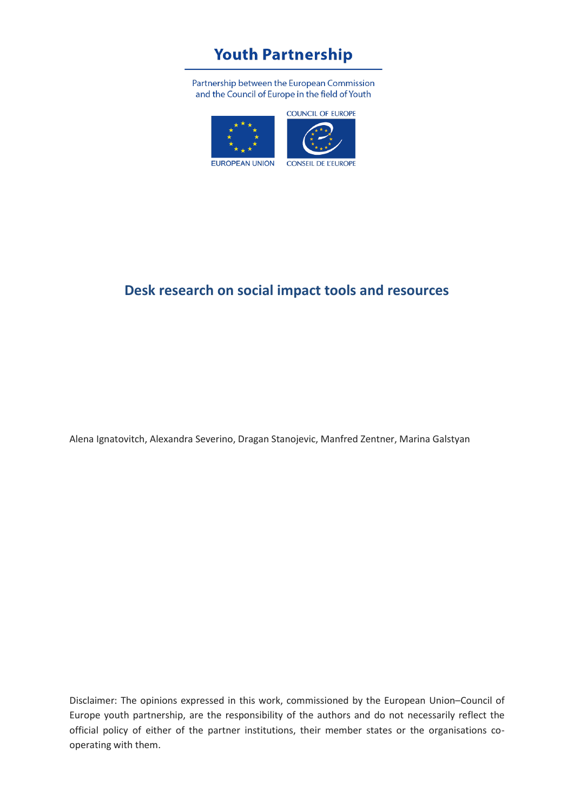# **Youth Partnership**

Partnership between the European Commission and the Council of Europe in the field of Youth



### **Desk research on social impact tools and resources**

Alena Ignatovitch, Alexandra Severino, Dragan Stanojevic, Manfred Zentner, Marina Galstyan

Disclaimer: The opinions expressed in this work, commissioned by the European Union–Council of Europe youth partnership, are the responsibility of the authors and do not necessarily reflect the official policy of either of the partner institutions, their member states or the organisations cooperating with them.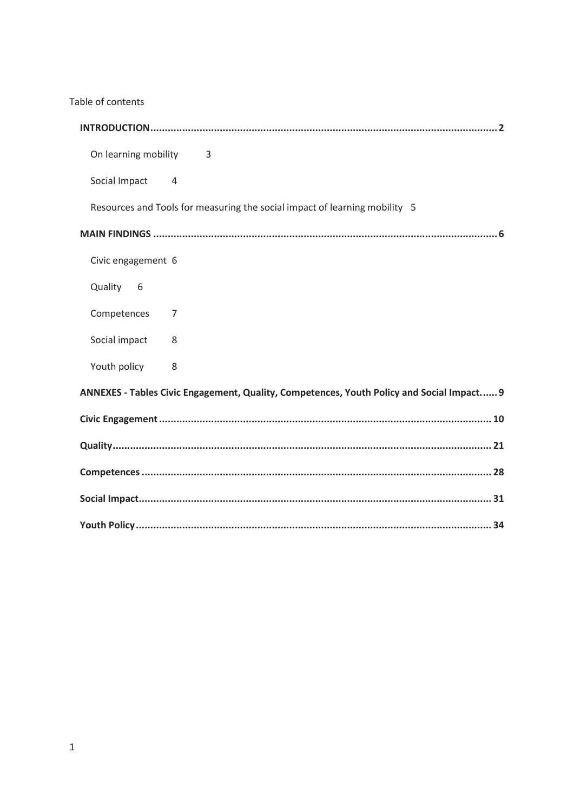Table of contents

| On learning mobility<br>$\overline{\phantom{a}}$ 3                                        |
|-------------------------------------------------------------------------------------------|
| Social Impact<br>$\overline{4}$                                                           |
| Resources and Tools for measuring the social impact of learning mobility 5                |
|                                                                                           |
| Civic engagement 6                                                                        |
| Quality 6                                                                                 |
| Competences<br>7                                                                          |
| Social impact<br>8                                                                        |
| Youth policy<br>8                                                                         |
| ANNEXES - Tables Civic Engagement, Quality, Competences, Youth Policy and Social Impact 9 |
|                                                                                           |
|                                                                                           |
|                                                                                           |
|                                                                                           |
|                                                                                           |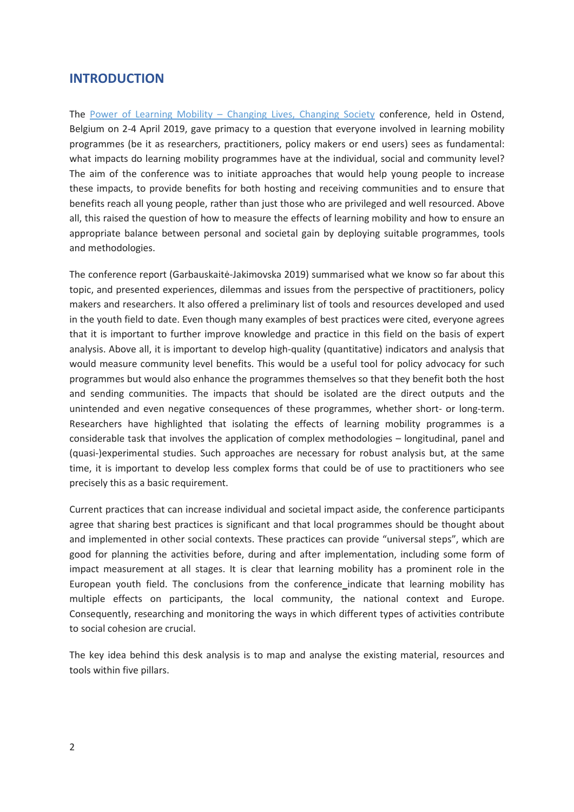### <span id="page-2-0"></span>**INTRODUCTION**

The Power of Learning Mobility – [Changing Lives, Changing Society](https://pjp-eu.coe.int/en/web/youth-partnership/conference-2019) conference, held in Ostend, Belgium on 2-4 April 2019, gave primacy to a question that everyone involved in learning mobility programmes (be it as researchers, practitioners, policy makers or end users) sees as fundamental: what impacts do learning mobility programmes have at the individual, social and community level? The aim of the conference was to initiate approaches that would help young people to increase these impacts, to provide benefits for both hosting and receiving communities and to ensure that benefits reach all young people, rather than just those who are privileged and well resourced. Above all, this raised the question of how to measure the effects of learning mobility and how to ensure an appropriate balance between personal and societal gain by deploying suitable programmes, tools and methodologies.

The conference report (Garbauskaitė-Jakimovska 2019) summarised what we know so far about this topic, and presented experiences, dilemmas and issues from the perspective of practitioners, policy makers and researchers. It also offered a preliminary list of tools and resources developed and used in the youth field to date. Even though many examples of best practices were cited, everyone agrees that it is important to further improve knowledge and practice in this field on the basis of expert analysis. Above all, it is important to develop high-quality (quantitative) indicators and analysis that would measure community level benefits. This would be a useful tool for policy advocacy for such programmes but would also enhance the programmes themselves so that they benefit both the host and sending communities. The impacts that should be isolated are the direct outputs and the unintended and even negative consequences of these programmes, whether short- or long-term. Researchers have highlighted that isolating the effects of learning mobility programmes is a considerable task that involves the application of complex methodologies – longitudinal, panel and (quasi-)experimental studies. Such approaches are necessary for robust analysis but, at the same time, it is important to develop less complex forms that could be of use to practitioners who see precisely this as a basic requirement.

Current practices that can increase individual and societal impact aside, the conference participants agree that sharing best practices is significant and that local programmes should be thought about and implemented in other social contexts. These practices can provide "universal steps", which are good for planning the activities before, during and after implementation, including some form of impact measurement at all stages. It is clear that learning mobility has a prominent role in the European youth field. The conclusions from the conference indicate that learning mobility has multiple effects on participants, the local community, the national context and Europe. Consequently, researching and monitoring the ways in which different types of activities contribute to social cohesion are crucial.

The key idea behind this desk analysis is to map and analyse the existing material, resources and tools within five pillars.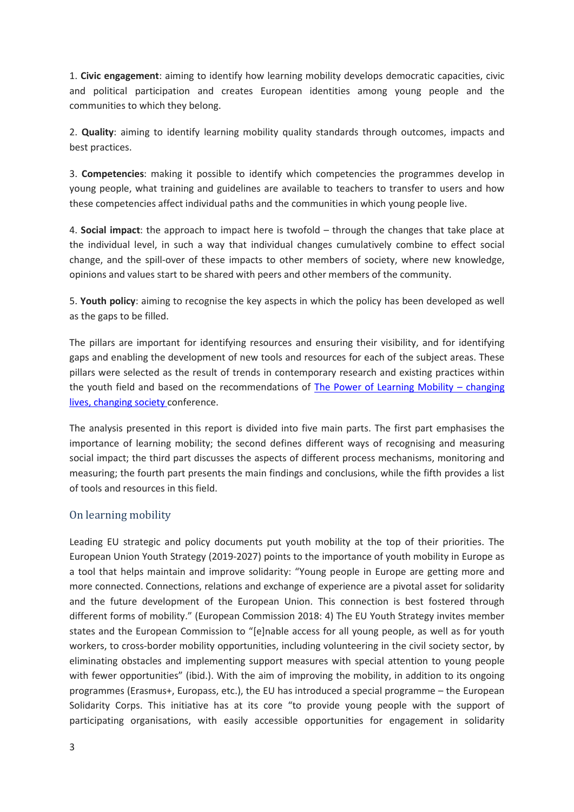1. **Civic engagement**: aiming to identify how learning mobility develops democratic capacities, civic and political participation and creates European identities among young people and the communities to which they belong.

2. **Quality**: aiming to identify learning mobility quality standards through outcomes, impacts and best practices.

3. **Competencies**: making it possible to identify which competencies the programmes develop in young people, what training and guidelines are available to teachers to transfer to users and how these competencies affect individual paths and the communities in which young people live.

4. **Social impact**: the approach to impact here is twofold – through the changes that take place at the individual level, in such a way that individual changes cumulatively combine to effect social change, and the spill-over of these impacts to other members of society, where new knowledge, opinions and values start to be shared with peers and other members of the community.

5. **Youth policy**: aiming to recognise the key aspects in which the policy has been developed as well as the gaps to be filled.

The pillars are important for identifying resources and ensuring their visibility, and for identifying gaps and enabling the development of new tools and resources for each of the subject areas. These pillars were selected as the result of trends in contemporary research and existing practices within the youth field and based on the recommendations of [The Power of Learning Mobility](https://pjp-eu.coe.int/en/web/youth-partnership/conference-2019) – changing [lives, changing society](https://pjp-eu.coe.int/en/web/youth-partnership/conference-2019) conference.

The analysis presented in this report is divided into five main parts. The first part emphasises the importance of learning mobility; the second defines different ways of recognising and measuring social impact; the third part discusses the aspects of different process mechanisms, monitoring and measuring; the fourth part presents the main findings and conclusions, while the fifth provides a list of tools and resources in this field.

#### <span id="page-3-0"></span>On learning mobility

Leading EU strategic and policy documents put youth mobility at the top of their priorities. The European Union Youth Strategy (2019-2027) points to the importance of youth mobility in Europe as a tool that helps maintain and improve solidarity: "Young people in Europe are getting more and more connected. Connections, relations and exchange of experience are a pivotal asset for solidarity and the future development of the European Union. This connection is best fostered through different forms of mobility." (European Commission 2018: 4) The EU Youth Strategy invites member states and the European Commission to "[e]nable access for all young people, as well as for youth workers, to cross-border mobility opportunities, including volunteering in the civil society sector, by eliminating obstacles and implementing support measures with special attention to young people with fewer opportunities" (ibid.). With the aim of improving the mobility, in addition to its ongoing programmes (Erasmus+, Europass, etc.), the EU has introduced a special programme – the European Solidarity Corps. This initiative has at its core "to provide young people with the support of participating organisations, with easily accessible opportunities for engagement in solidarity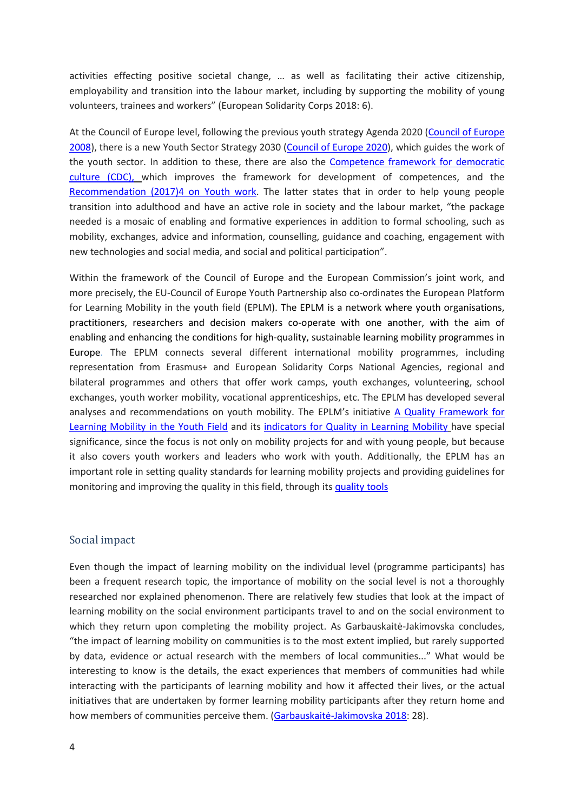activities effecting positive societal change, … as well as facilitating their active citizenship, employability and transition into the labour market, including by supporting the mobility of young volunteers, trainees and workers" (European Solidarity Corps 2018: 6).

At the Council of Europe level, following the previous youth strategy Agenda 2020 [\(Council of Europe](https://www.coe.int/en/web/youth/agenda-2020)  [2008\)](https://www.coe.int/en/web/youth/agenda-2020), there is a new Youth Sector Strategy 2030 [\(Council of Europe 2020\)](https://www.coe.int/en/web/youth/youth-strategy), which guides the work of the youth sector. In addition to these, there are also the [Competence framework for democratic](https://rm.coe.int/16806ccc07)  [culture](https://rm.coe.int/16806ccc07) (CDC), which improves the framework for development of competences, and the [Recommendation \(2017\)4 on Youth work.](https://search.coe.int/cm/Pages/result_details.aspx?ObjectId=0900001680717e78) The latter states that in order to help young people transition into adulthood and have an active role in society and the labour market, "the package needed is a mosaic of enabling and formative experiences in addition to formal schooling, such as mobility, exchanges, advice and information, counselling, guidance and coaching, engagement with new technologies and social media, and social and political participation".

Within the framework of the Council of Europe and the European Commission's joint work, and more precisely, the EU-Council of Europe Youth Partnership also co-ordinates the European Platform for Learning Mobility in the youth field (EPLM). The EPLM is a network where youth organisations, practitioners, researchers and decision makers co-operate with one another, with the aim of enabling and enhancing the conditions for high-quality, sustainable learning mobility programmes in Europe. The EPLM connects several different international mobility programmes, including representation from Erasmus+ and European Solidarity Corps National Agencies, regional and bilateral programmes and others that offer work camps, youth exchanges, volunteering, school exchanges, youth worker mobility, vocational apprenticeships, etc. The EPLM has developed several analyses and recommendations on youth mobility. The EPLM's initiative A Quality Framework for Learning [Mobility in the Youth Field](https://pjp-eu.coe.int/documents/42128013/47262025/Charter-Quality-Learning-Mobility-Youth-Field.pdf/8ea01d93-11ff-d22e-a9bc-c8431a523778) and its [indicators for Quality in Learning Mobility](https://pjp-eu.coe.int/documents/42128013/47262316/Indicators+Learning+Mobility+Endorsed.pdf/b35d2def-e53a-2643-cdb7-1477d4cf8864) have special significance, since the focus is not only on mobility projects for and with young people, but because it also covers youth workers and leaders who work with youth. Additionally, the EPLM has an important role in setting quality standards for learning mobility projects and providing guidelines for monitoring and improving the quality in this field, through it[s quality tools](https://pjp-eu.coe.int/en/web/youth-partnership/quality-in-learning-mobility)

#### <span id="page-4-0"></span>Social impact

Even though the impact of learning mobility on the individual level (programme participants) has been a frequent research topic, the importance of mobility on the social level is not a thoroughly researched nor explained phenomenon. There are relatively few studies that look at the impact of learning mobility on the social environment participants travel to and on the social environment to which they return upon completing the mobility project. As Garbauskaitė-Jakimovska concludes, "the impact of learning mobility on communities is to the most extent implied, but rarely supported by data, evidence or actual research with the members of local communities..." What would be interesting to know is the details, the exact experiences that members of communities had while interacting with the participants of learning mobility and how it affected their lives, or the actual initiatives that are undertaken by former learning mobility participants after they return home and how members of communities perceive them. (Garbauskaitė[-Jakimovska 2018:](https://pjp-eu.coe.int/documents/42128013/47262316/The-value-of-LM.pdf/c3c7cd96-9f81-3f26-4917-e7ff5f9d2640) 28).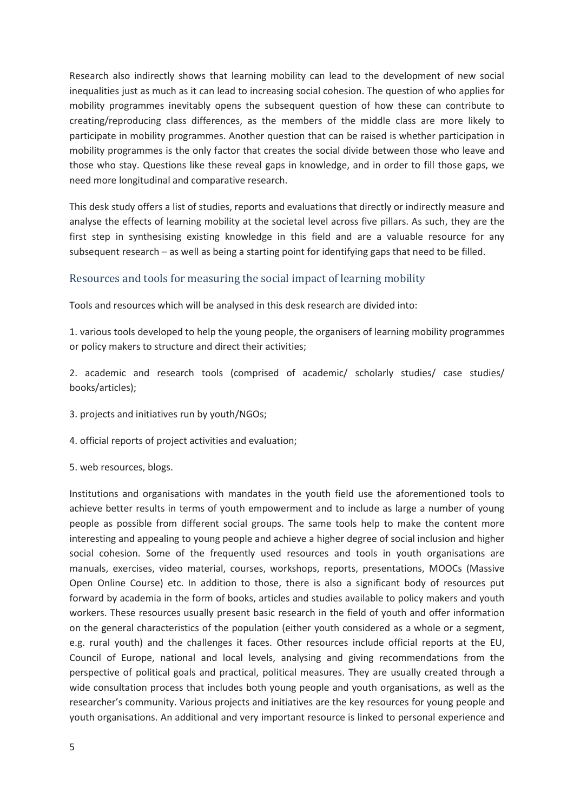Research also indirectly shows that learning mobility can lead to the development of new social inequalities just as much as it can lead to increasing social cohesion. The question of who applies for mobility programmes inevitably opens the subsequent question of how these can contribute to creating/reproducing class differences, as the members of the middle class are more likely to participate in mobility programmes. Another question that can be raised is whether participation in mobility programmes is the only factor that creates the social divide between those who leave and those who stay. Questions like these reveal gaps in knowledge, and in order to fill those gaps, we need more longitudinal and comparative research.

This desk study offers a list of studies, reports and evaluations that directly or indirectly measure and analyse the effects of learning mobility at the societal level across five pillars. As such, they are the first step in synthesising existing knowledge in this field and are a valuable resource for any subsequent research – as well as being a starting point for identifying gaps that need to be filled.

#### <span id="page-5-0"></span>Resources and tools for measuring the social impact of learning mobility

Tools and resources which will be analysed in this desk research are divided into:

1. various tools developed to help the young people, the organisers of learning mobility programmes or policy makers to structure and direct their activities;

2. academic and research tools (comprised of academic/ scholarly studies/ case studies/ books/articles);

3. projects and initiatives run by youth/NGOs;

4. official reports of project activities and evaluation;

5. web resources, blogs.

Institutions and organisations with mandates in the youth field use the aforementioned tools to achieve better results in terms of youth empowerment and to include as large a number of young people as possible from different social groups. The same tools help to make the content more interesting and appealing to young people and achieve a higher degree of social inclusion and higher social cohesion. Some of the frequently used resources and tools in youth organisations are manuals, exercises, video material, courses, workshops, reports, presentations, MOOCs (Massive Open Online Course) etc. In addition to those, there is also a significant body of resources put forward by academia in the form of books, articles and studies available to policy makers and youth workers. These resources usually present basic research in the field of youth and offer information on the general characteristics of the population (either youth considered as a whole or a segment, e.g. rural youth) and the challenges it faces. Other resources include official reports at the EU, Council of Europe, national and local levels, analysing and giving recommendations from the perspective of political goals and practical, political measures. They are usually created through a wide consultation process that includes both young people and youth organisations, as well as the researcher's community. Various projects and initiatives are the key resources for young people and youth organisations. An additional and very important resource is linked to personal experience and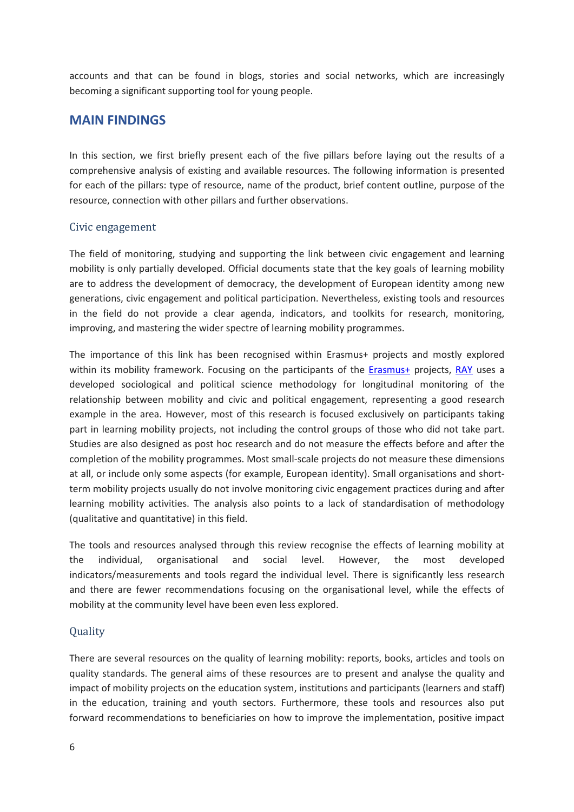accounts and that can be found in blogs, stories and social networks, which are increasingly becoming a significant supporting tool for young people.

### <span id="page-6-0"></span>**MAIN FINDINGS**

In this section, we first briefly present each of the five pillars before laying out the results of a comprehensive analysis of existing and available resources. The following information is presented for each of the pillars: type of resource, name of the product, brief content outline, purpose of the resource, connection with other pillars and further observations.

#### <span id="page-6-1"></span>Civic engagement

The field of monitoring, studying and supporting the link between civic engagement and learning mobility is only partially developed. Official documents state that the key goals of learning mobility are to address the development of democracy, the development of European identity among new generations, civic engagement and political participation. Nevertheless, existing tools and resources in the field do not provide a clear agenda, indicators, and toolkits for research, monitoring, improving, and mastering the wider spectre of learning mobility programmes.

The importance of this link has been recognised within Erasmus+ projects and mostly explored within its mobility framework. Focusing on the participants of the **Erasmus+** projects, [RAY](https://www.researchyouth.net/) uses a developed sociological and political science methodology for longitudinal monitoring of the relationship between mobility and civic and political engagement, representing a good research example in the area. However, most of this research is focused exclusively on participants taking part in learning mobility projects, not including the control groups of those who did not take part. Studies are also designed as post hoc research and do not measure the effects before and after the completion of the mobility programmes. Most small-scale projects do not measure these dimensions at all, or include only some aspects (for example, European identity). Small organisations and shortterm mobility projects usually do not involve monitoring civic engagement practices during and after learning mobility activities. The analysis also points to a lack of standardisation of methodology (qualitative and quantitative) in this field.

The tools and resources analysed through this review recognise the effects of learning mobility at the individual, organisational and social level. However, the most developed indicators/measurements and tools regard the individual level. There is significantly less research and there are fewer recommendations focusing on the organisational level, while the effects of mobility at the community level have been even less explored.

#### <span id="page-6-2"></span>Quality

There are several resources on the quality of learning mobility: reports, books, articles and tools on quality standards. The general aims of these resources are to present and analyse the quality and impact of mobility projects on the education system, institutions and participants (learners and staff) in the education, training and youth sectors. Furthermore, these tools and resources also put forward recommendations to beneficiaries on how to improve the implementation, positive impact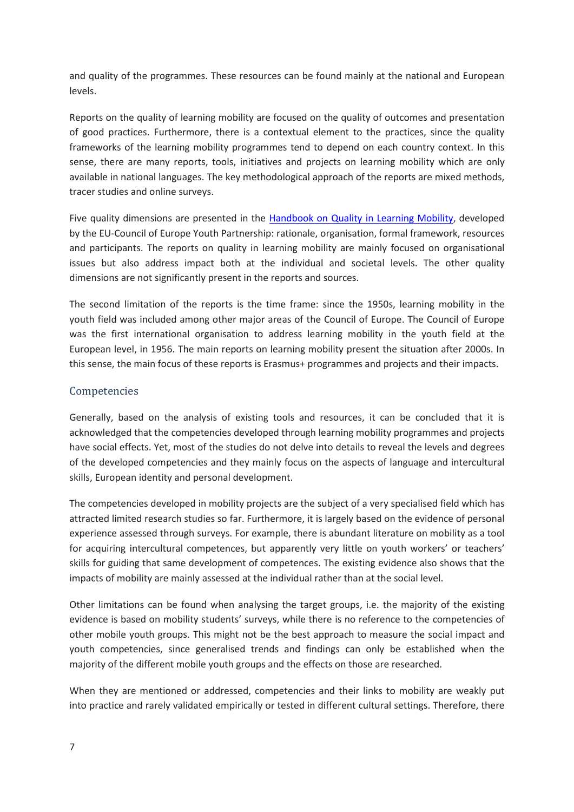and quality of the programmes. These resources can be found mainly at the national and European levels.

Reports on the quality of learning mobility are focused on the quality of outcomes and presentation of good practices. Furthermore, there is a contextual element to the practices, since the quality frameworks of the learning mobility programmes tend to depend on each country context. In this sense, there are many reports, tools, initiatives and projects on learning mobility which are only available in national languages. The key methodological approach of the reports are mixed methods, tracer studies and online surveys.

Five quality dimensions are presented in the Handbook [on Quality in Learning Mobility,](https://pjp-eu.coe.int/documents/42128013/47261953/Handbook+LM/3a5c103c-0367-4eba-1aca-ee544826f557) developed by the EU-Council of Europe Youth Partnership: rationale, organisation, formal framework, resources and participants. The reports on quality in learning mobility are mainly focused on organisational issues but also address impact both at the individual and societal levels. The other quality dimensions are not significantly present in the reports and sources.

The second limitation of the reports is the time frame: since the 1950s, learning mobility in the youth field was included among other major areas of the Council of Europe. The Council of Europe was the first international organisation to address learning mobility in the youth field at the European level, in 1956. The main reports on learning mobility present the situation after 2000s. In this sense, the main focus of these reports is Erasmus+ programmes and projects and their impacts.

#### <span id="page-7-0"></span>Competencies

Generally, based on the analysis of existing tools and resources, it can be concluded that it is acknowledged that the competencies developed through learning mobility programmes and projects have social effects. Yet, most of the studies do not delve into details to reveal the levels and degrees of the developed competencies and they mainly focus on the aspects of language and intercultural skills, European identity and personal development.

The competencies developed in mobility projects are the subject of a very specialised field which has attracted limited research studies so far. Furthermore, it is largely based on the evidence of personal experience assessed through surveys. For example, there is abundant literature on mobility as a tool for acquiring intercultural competences, but apparently very little on youth workers' or teachers' skills for guiding that same development of competences. The existing evidence also shows that the impacts of mobility are mainly assessed at the individual rather than at the social level.

Other limitations can be found when analysing the target groups, i.e. the majority of the existing evidence is based on mobility students' surveys, while there is no reference to the competencies of other mobile youth groups. This might not be the best approach to measure the social impact and youth competencies, since generalised trends and findings can only be established when the majority of the different mobile youth groups and the effects on those are researched.

When they are mentioned or addressed, competencies and their links to mobility are weakly put into practice and rarely validated empirically or tested in different cultural settings. Therefore, there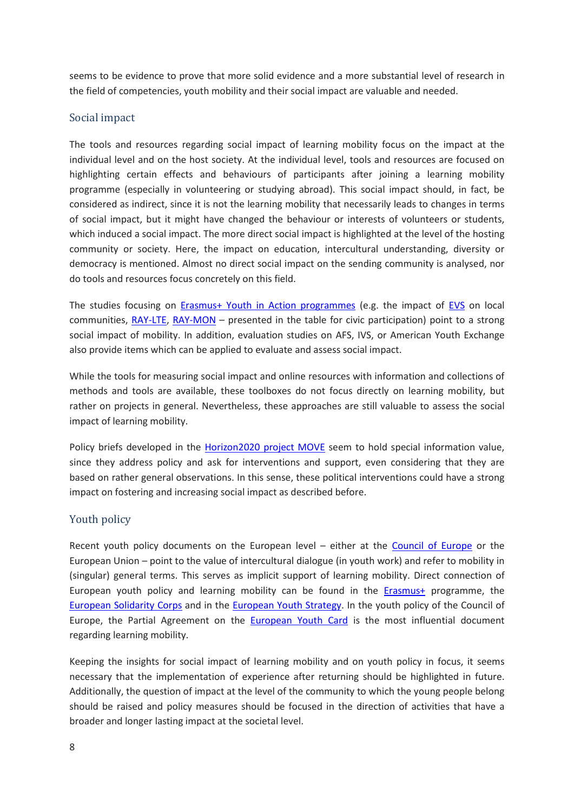seems to be evidence to prove that more solid evidence and a more substantial level of research in the field of competencies, youth mobility and their social impact are valuable and needed.

#### <span id="page-8-0"></span>Social impact

The tools and resources regarding social impact of learning mobility focus on the impact at the individual level and on the host society. At the individual level, tools and resources are focused on highlighting certain effects and behaviours of participants after joining a learning mobility programme (especially in volunteering or studying abroad). This social impact should, in fact, be considered as indirect, since it is not the learning mobility that necessarily leads to changes in terms of social impact, but it might have changed the behaviour or interests of volunteers or students, which induced a social impact. The more direct social impact is highlighted at the level of the hosting community or society. Here, the impact on education, intercultural understanding, diversity or democracy is mentioned. Almost no direct social impact on the sending community is analysed, nor do tools and resources focus concretely on this field.

The studies focusing on [Erasmus+ Youth in Action programmes](https://erasmus-plus.ec.europa.eu/programme-guide/part-b/key-action-1/youth-participation) (e.g. the impact of [EVS](https://europeanvoluntaryservice.org/) on local communities, [RAY-LTE,](https://www.researchyouth.net/projects/lte/) [RAY-MON](https://www.researchyouth.net/projects/mon/) – presented in the table for civic participation) point to a strong social impact of mobility. In addition, evaluation studies on AFS, IVS, or American Youth Exchange also provide items which can be applied to evaluate and assess social impact.

While the tools for measuring social impact and online resources with information and collections of methods and tools are available, these toolboxes do not focus directly on learning mobility, but rather on projects in general. Nevertheless, these approaches are still valuable to assess the social impact of learning mobility.

Policy briefs developed in the **Horizon2020 project MOVE** seem to hold special information value, since they address policy and ask for interventions and support, even considering that they are based on rather general observations. In this sense, these political interventions could have a strong impact on fostering and increasing social impact as described before.

#### <span id="page-8-1"></span>Youth policy

Recent youth policy documents on the European level – either at the [Council of](https://www.coe.int/en/web/portal) Europe or the European Union – point to the value of intercultural dialogue (in youth work) and refer to mobility in (singular) general terms. This serves as implicit support of learning mobility. Direct connection of European youth policy and learning mobility can be found in the [Erasmus+](https://erasmus-plus.ec.europa.eu/) programme, the [European Solidarity Corps](https://europa.eu/youth/solidarity_en) and in the [European Youth Strategy.](https://europa.eu/youth/strategy_en) In the youth policy of the Council of Europe, the Partial Agreement on the **[European Youth Card](https://www.eyca.org/)** is the most influential document regarding learning mobility.

Keeping the insights for social impact of learning mobility and on youth policy in focus, it seems necessary that the implementation of experience after returning should be highlighted in future. Additionally, the question of impact at the level of the community to which the young people belong should be raised and policy measures should be focused in the direction of activities that have a broader and longer lasting impact at the societal level.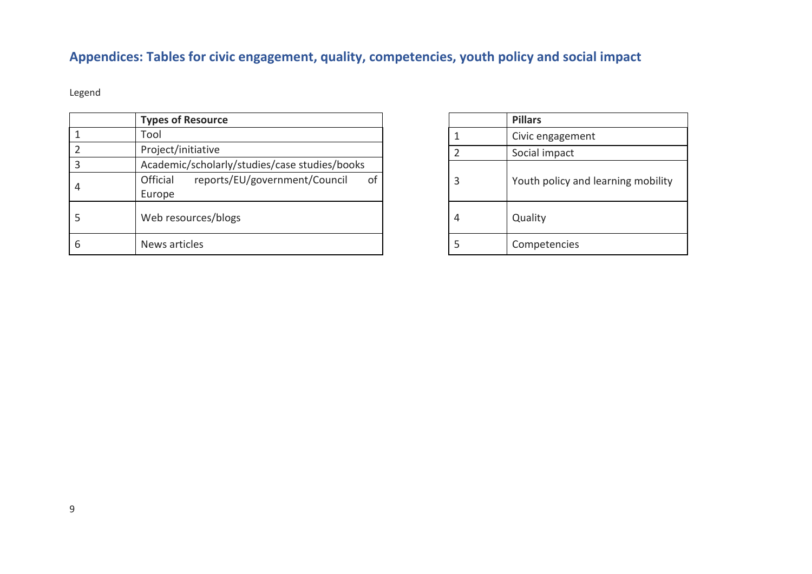## **Appendices: Tables for civic engagement, quality, competencies, youth policy and social impact**

Legend

<span id="page-9-0"></span>

|   | <b>Types of Resource</b>                                  |   | <b>Pillars</b>                     |
|---|-----------------------------------------------------------|---|------------------------------------|
|   | Tool                                                      |   | Civic engagement                   |
|   | Project/initiative                                        |   | Social impact                      |
|   | Academic/scholarly/studies/case studies/books             |   |                                    |
|   | reports/EU/government/Council<br>Official<br>of<br>Europe | ∍ | Youth policy and learning mobility |
|   | Web resources/blogs                                       | 4 | Quality                            |
| b | News articles                                             |   | Competencies                       |

|                | <b>Pillars</b>                     |
|----------------|------------------------------------|
| 1              | Civic engagement                   |
| $\overline{2}$ | Social impact                      |
| 3              | Youth policy and learning mobility |
|                | Quality                            |
|                | Competencies                       |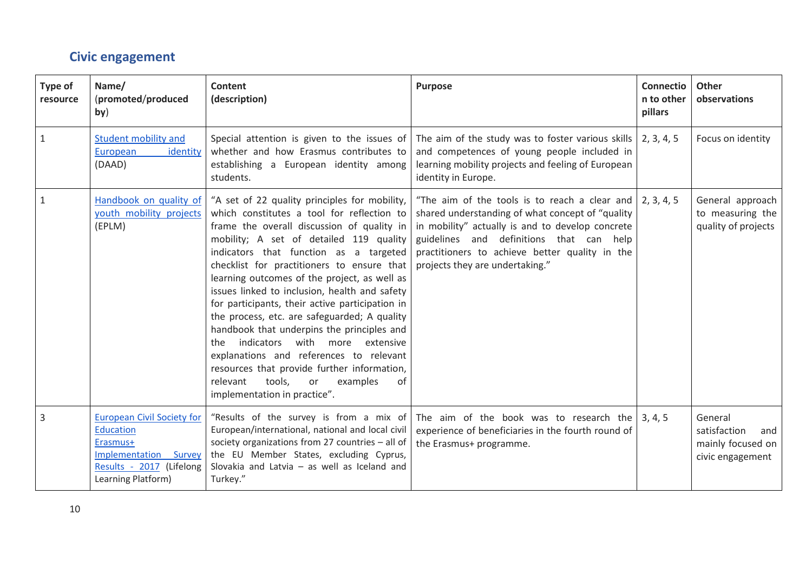### **Civic engagement**

<span id="page-10-0"></span>

| Type of<br>resource | Name/<br>(promoted/produced<br>by)                                                                                                                  | Content<br>(description)                                                                                                                                                                                                                                                                                                                                                                                                                                                                                                                                                                                                                                                                                                                           | <b>Purpose</b>                                                                                                                                                                                                                                                                                            | <b>Connectio</b><br>n to other<br>pillars | <b>Other</b><br>observations                                            |
|---------------------|-----------------------------------------------------------------------------------------------------------------------------------------------------|----------------------------------------------------------------------------------------------------------------------------------------------------------------------------------------------------------------------------------------------------------------------------------------------------------------------------------------------------------------------------------------------------------------------------------------------------------------------------------------------------------------------------------------------------------------------------------------------------------------------------------------------------------------------------------------------------------------------------------------------------|-----------------------------------------------------------------------------------------------------------------------------------------------------------------------------------------------------------------------------------------------------------------------------------------------------------|-------------------------------------------|-------------------------------------------------------------------------|
| $\mathbf{1}$        | <b>Student mobility and</b><br>European<br>identity<br>(DAAD)                                                                                       | whether and how Erasmus contributes to<br>establishing a European identity among<br>students.                                                                                                                                                                                                                                                                                                                                                                                                                                                                                                                                                                                                                                                      | Special attention is given to the issues of The aim of the study was to foster various skills<br>and competences of young people included in<br>learning mobility projects and feeling of European<br>identity in Europe.                                                                                 | 2, 3, 4, 5                                | Focus on identity                                                       |
| $\mathbf{1}$        | Handbook on quality of<br>youth mobility projects<br>(EPLM)                                                                                         | "A set of 22 quality principles for mobility,<br>which constitutes a tool for reflection to<br>frame the overall discussion of quality in<br>mobility; A set of detailed 119 quality<br>indicators that function as a targeted<br>checklist for practitioners to ensure that<br>learning outcomes of the project, as well as<br>issues linked to inclusion, health and safety<br>for participants, their active participation in<br>the process, etc. are safeguarded; A quality<br>handbook that underpins the principles and<br>with more extensive<br>indicators<br>the<br>explanations and references to relevant<br>resources that provide further information,<br>tools,<br>relevant<br>or<br>examples<br>of<br>implementation in practice". | "The aim of the tools is to reach a clear and $\vert$ 2, 3, 4, 5<br>shared understanding of what concept of "quality<br>in mobility" actually is and to develop concrete<br>guidelines and definitions that can help<br>practitioners to achieve better quality in the<br>projects they are undertaking." |                                           | General approach<br>to measuring the<br>quality of projects             |
| 3                   | <b>European Civil Society for</b><br><b>Education</b><br>Erasmus+<br><b>Implementation Survey</b><br>Results - 2017 (Lifelong<br>Learning Platform) | "Results of the survey is from a mix of<br>European/international, national and local civil<br>society organizations from 27 countries - all of<br>the EU Member States, excluding Cyprus,<br>Slovakia and Latvia $-$ as well as Iceland and<br>Turkey."                                                                                                                                                                                                                                                                                                                                                                                                                                                                                           | The aim of the book was to research the $\vert 3, 4, 5 \rangle$<br>experience of beneficiaries in the fourth round of<br>the Erasmus+ programme.                                                                                                                                                          |                                           | General<br>satisfaction<br>and<br>mainly focused on<br>civic engagement |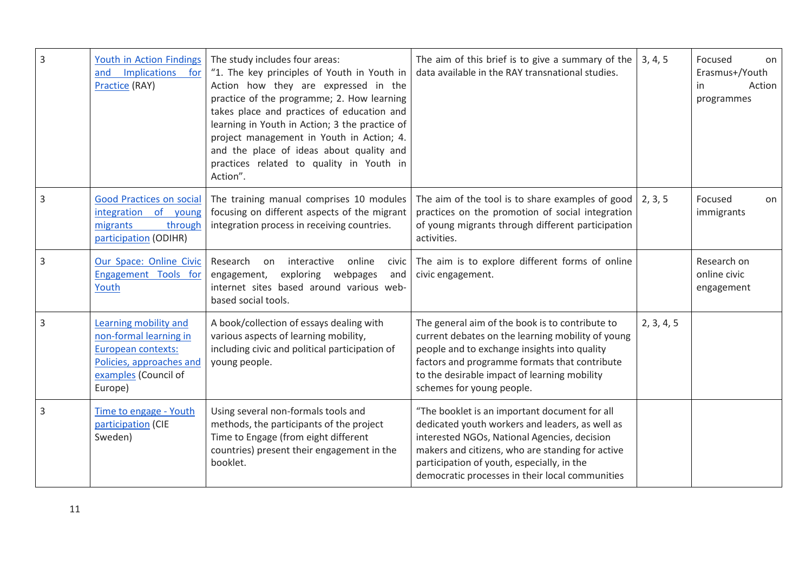| $\overline{3}$ | Youth in Action Findings<br>Implications<br>and<br>for<br>Practice (RAY)                                                             | The study includes four areas:<br>"1. The key principles of Youth in Youth in<br>Action how they are expressed in the<br>practice of the programme; 2. How learning<br>takes place and practices of education and<br>learning in Youth in Action; 3 the practice of<br>project management in Youth in Action; 4.<br>and the place of ideas about quality and<br>practices related to quality in Youth in<br>Action". | The aim of this brief is to give a summary of the<br>data available in the RAY transnational studies.                                                                                                                                                                                                 | 3, 4, 5    | Focused<br>on<br>Erasmus+/Youth<br>Action<br>in<br>programmes |
|----------------|--------------------------------------------------------------------------------------------------------------------------------------|----------------------------------------------------------------------------------------------------------------------------------------------------------------------------------------------------------------------------------------------------------------------------------------------------------------------------------------------------------------------------------------------------------------------|-------------------------------------------------------------------------------------------------------------------------------------------------------------------------------------------------------------------------------------------------------------------------------------------------------|------------|---------------------------------------------------------------|
| $\overline{3}$ | Good Practices on social<br>integration of young<br>through<br>migrants<br>participation (ODIHR)                                     | The training manual comprises 10 modules<br>focusing on different aspects of the migrant<br>integration process in receiving countries.                                                                                                                                                                                                                                                                              | The aim of the tool is to share examples of good<br>practices on the promotion of social integration<br>of young migrants through different participation<br>activities.                                                                                                                              | 2, 3, 5    | Focused<br>on<br>immigrants                                   |
| $\overline{3}$ | Our Space: Online Civic<br>Engagement Tools for<br>Youth                                                                             | online<br>Research<br>interactive<br>on<br><b>Civic</b><br>engagement,<br>exploring webpages<br>and<br>internet sites based around various web-<br>based social tools.                                                                                                                                                                                                                                               | The aim is to explore different forms of online<br>civic engagement.                                                                                                                                                                                                                                  |            | Research on<br>online civic<br>engagement                     |
| $\overline{3}$ | Learning mobility and<br>non-formal learning in<br>European contexts:<br>Policies, approaches and<br>examples (Council of<br>Europe) | A book/collection of essays dealing with<br>various aspects of learning mobility,<br>including civic and political participation of<br>young people.                                                                                                                                                                                                                                                                 | The general aim of the book is to contribute to<br>current debates on the learning mobility of young<br>people and to exchange insights into quality<br>factors and programme formats that contribute<br>to the desirable impact of learning mobility<br>schemes for young people.                    | 2, 3, 4, 5 |                                                               |
| 3              | Time to engage - Youth<br>participation (CIE<br>Sweden)                                                                              | Using several non-formals tools and<br>methods, the participants of the project<br>Time to Engage (from eight different<br>countries) present their engagement in the<br>booklet.                                                                                                                                                                                                                                    | "The booklet is an important document for all<br>dedicated youth workers and leaders, as well as<br>interested NGOs, National Agencies, decision<br>makers and citizens, who are standing for active<br>participation of youth, especially, in the<br>democratic processes in their local communities |            |                                                               |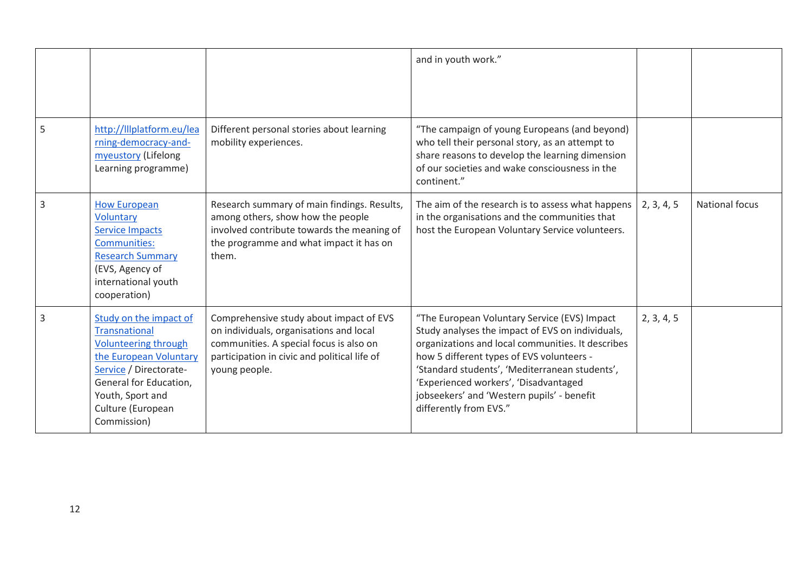|   |                                                                                                                                                                                                              |                                                                                                                                                                                                | and in youth work."                                                                                                                                                                                                                                                                                                                                                   |            |                       |
|---|--------------------------------------------------------------------------------------------------------------------------------------------------------------------------------------------------------------|------------------------------------------------------------------------------------------------------------------------------------------------------------------------------------------------|-----------------------------------------------------------------------------------------------------------------------------------------------------------------------------------------------------------------------------------------------------------------------------------------------------------------------------------------------------------------------|------------|-----------------------|
| 5 | http://lllplatform.eu/lea<br>rning-democracy-and-<br>myeustory (Lifelong<br>Learning programme)                                                                                                              | Different personal stories about learning<br>mobility experiences.                                                                                                                             | "The campaign of young Europeans (and beyond)<br>who tell their personal story, as an attempt to<br>share reasons to develop the learning dimension<br>of our societies and wake consciousness in the<br>continent."                                                                                                                                                  |            |                       |
| 3 | <b>How European</b><br>Voluntary<br><b>Service Impacts</b><br>Communities:<br><b>Research Summary</b><br>(EVS, Agency of<br>international youth<br>cooperation)                                              | Research summary of main findings. Results,<br>among others, show how the people<br>involved contribute towards the meaning of<br>the programme and what impact it has on<br>them.             | The aim of the research is to assess what happens<br>in the organisations and the communities that<br>host the European Voluntary Service volunteers.                                                                                                                                                                                                                 | 2, 3, 4, 5 | <b>National focus</b> |
| 3 | Study on the impact of<br><b>Transnational</b><br>Volunteering through<br>the European Voluntary<br>Service / Directorate-<br>General for Education,<br>Youth, Sport and<br>Culture (European<br>Commission) | Comprehensive study about impact of EVS<br>on individuals, organisations and local<br>communities. A special focus is also on<br>participation in civic and political life of<br>young people. | "The European Voluntary Service (EVS) Impact<br>Study analyses the impact of EVS on individuals,<br>organizations and local communities. It describes<br>how 5 different types of EVS volunteers -<br>'Standard students', 'Mediterranean students',<br>'Experienced workers', 'Disadvantaged<br>jobseekers' and 'Western pupils' - benefit<br>differently from EVS." | 2, 3, 4, 5 |                       |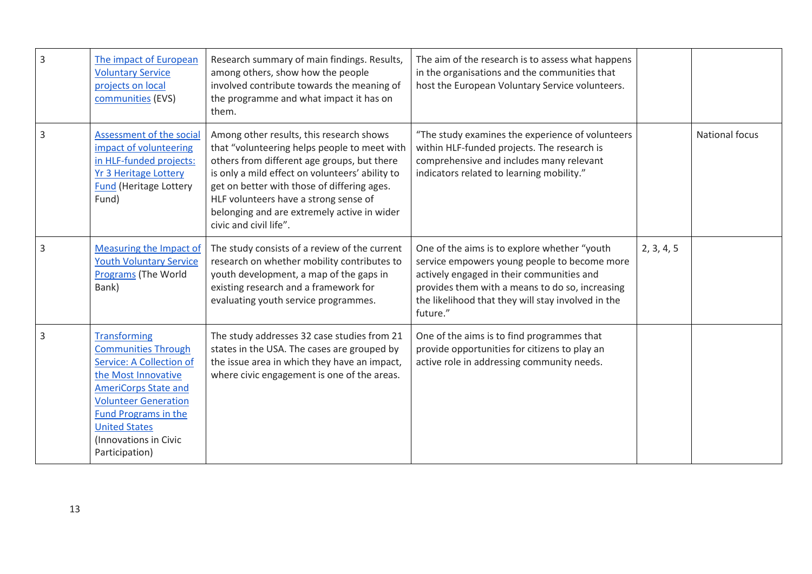| 3 | The impact of European<br><b>Voluntary Service</b><br>projects on local<br>communities (EVS)                                                                                                                                                                                | Research summary of main findings. Results,<br>among others, show how the people<br>involved contribute towards the meaning of<br>the programme and what impact it has on<br>them.                                                                                                                                                                          | The aim of the research is to assess what happens<br>in the organisations and the communities that<br>host the European Voluntary Service volunteers.                                                                                                          |            |                       |
|---|-----------------------------------------------------------------------------------------------------------------------------------------------------------------------------------------------------------------------------------------------------------------------------|-------------------------------------------------------------------------------------------------------------------------------------------------------------------------------------------------------------------------------------------------------------------------------------------------------------------------------------------------------------|----------------------------------------------------------------------------------------------------------------------------------------------------------------------------------------------------------------------------------------------------------------|------------|-----------------------|
| 3 | Assessment of the social<br>impact of volunteering<br>in HLF-funded projects:<br><b>Yr 3 Heritage Lottery</b><br><b>Fund (Heritage Lottery</b><br>Fund)                                                                                                                     | Among other results, this research shows<br>that "volunteering helps people to meet with<br>others from different age groups, but there<br>is only a mild effect on volunteers' ability to<br>get on better with those of differing ages.<br>HLF volunteers have a strong sense of<br>belonging and are extremely active in wider<br>civic and civil life". | "The study examines the experience of volunteers<br>within HLF-funded projects. The research is<br>comprehensive and includes many relevant<br>indicators related to learning mobility."                                                                       |            | <b>National focus</b> |
| 3 | Measuring the Impact of<br><b>Youth Voluntary Service</b><br>Programs (The World<br>Bank)                                                                                                                                                                                   | The study consists of a review of the current<br>research on whether mobility contributes to<br>youth development, a map of the gaps in<br>existing research and a framework for<br>evaluating youth service programmes.                                                                                                                                    | One of the aims is to explore whether "youth<br>service empowers young people to become more<br>actively engaged in their communities and<br>provides them with a means to do so, increasing<br>the likelihood that they will stay involved in the<br>future." | 2, 3, 4, 5 |                       |
| 3 | <b>Transforming</b><br><b>Communities Through</b><br><b>Service: A Collection of</b><br>the Most Innovative<br><b>AmeriCorps State and</b><br><b>Volunteer Generation</b><br><b>Fund Programs in the</b><br><b>United States</b><br>(Innovations in Civic<br>Participation) | The study addresses 32 case studies from 21<br>states in the USA. The cases are grouped by<br>the issue area in which they have an impact,<br>where civic engagement is one of the areas.                                                                                                                                                                   | One of the aims is to find programmes that<br>provide opportunities for citizens to play an<br>active role in addressing community needs.                                                                                                                      |            |                       |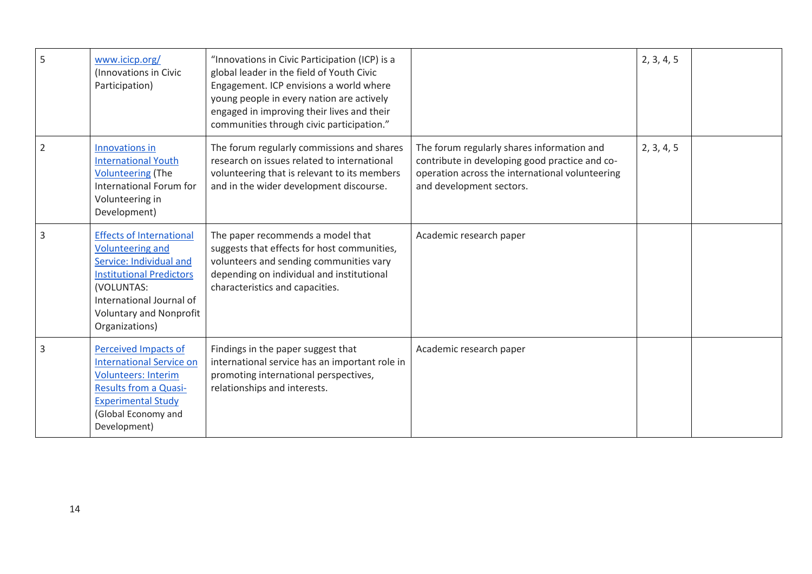| 5 | www.icicp.org/<br>(Innovations in Civic<br>Participation)                                                                                                                                                              | "Innovations in Civic Participation (ICP) is a<br>global leader in the field of Youth Civic<br>Engagement. ICP envisions a world where<br>young people in every nation are actively<br>engaged in improving their lives and their<br>communities through civic participation." |                                                                                                                                                                             | 2, 3, 4, 5 |  |
|---|------------------------------------------------------------------------------------------------------------------------------------------------------------------------------------------------------------------------|--------------------------------------------------------------------------------------------------------------------------------------------------------------------------------------------------------------------------------------------------------------------------------|-----------------------------------------------------------------------------------------------------------------------------------------------------------------------------|------------|--|
| 2 | Innovations in<br><b>International Youth</b><br><b>Volunteering (The</b><br>International Forum for<br>Volunteering in<br>Development)                                                                                 | The forum regularly commissions and shares<br>research on issues related to international<br>volunteering that is relevant to its members<br>and in the wider development discourse.                                                                                           | The forum regularly shares information and<br>contribute in developing good practice and co-<br>operation across the international volunteering<br>and development sectors. | 2, 3, 4, 5 |  |
| 3 | <b>Effects of International</b><br><b>Volunteering and</b><br>Service: Individual and<br><b>Institutional Predictors</b><br>(VOLUNTAS:<br>International Journal of<br><b>Voluntary and Nonprofit</b><br>Organizations) | The paper recommends a model that<br>suggests that effects for host communities,<br>volunteers and sending communities vary<br>depending on individual and institutional<br>characteristics and capacities.                                                                    | Academic research paper                                                                                                                                                     |            |  |
| 3 | Perceived Impacts of<br><b>International Service on</b><br><b>Volunteers: Interim</b><br><b>Results from a Quasi-</b><br><b>Experimental Study</b><br>(Global Economy and<br>Development)                              | Findings in the paper suggest that<br>international service has an important role in<br>promoting international perspectives,<br>relationships and interests.                                                                                                                  | Academic research paper                                                                                                                                                     |            |  |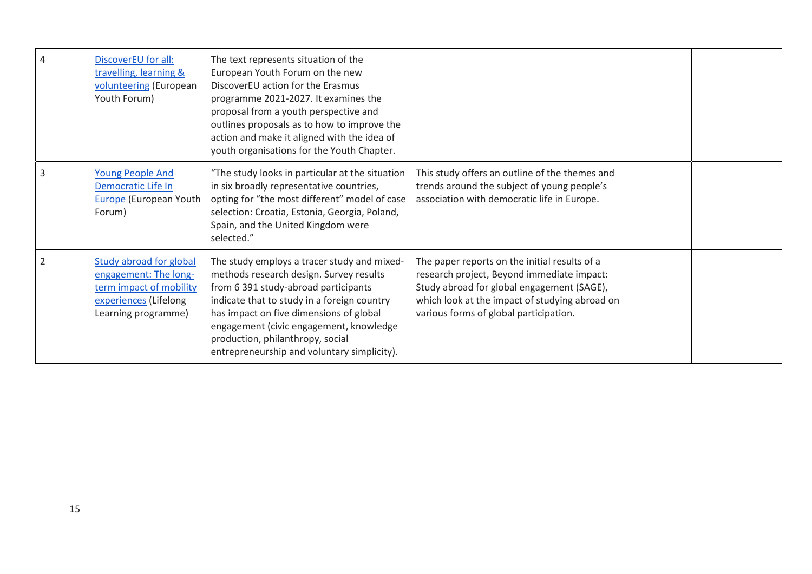| 4 | DiscoverEU for all:<br>travelling, learning &<br>volunteering (European<br>Youth Forum)                                     | The text represents situation of the<br>European Youth Forum on the new<br>DiscoverEU action for the Erasmus<br>programme 2021-2027. It examines the<br>proposal from a youth perspective and<br>outlines proposals as to how to improve the<br>action and make it aligned with the idea of<br>youth organisations for the Youth Chapter.              |                                                                                                                                                                                                                                       |  |
|---|-----------------------------------------------------------------------------------------------------------------------------|--------------------------------------------------------------------------------------------------------------------------------------------------------------------------------------------------------------------------------------------------------------------------------------------------------------------------------------------------------|---------------------------------------------------------------------------------------------------------------------------------------------------------------------------------------------------------------------------------------|--|
| 3 | <b>Young People And</b><br>Democratic Life In<br><b>Europe</b> (European Youth<br>Forum)                                    | "The study looks in particular at the situation<br>in six broadly representative countries,<br>opting for "the most different" model of case<br>selection: Croatia, Estonia, Georgia, Poland,<br>Spain, and the United Kingdom were<br>selected."                                                                                                      | This study offers an outline of the themes and<br>trends around the subject of young people's<br>association with democratic life in Europe.                                                                                          |  |
| 2 | Study abroad for global<br>engagement: The long-<br>term impact of mobility<br>experiences (Lifelong<br>Learning programme) | The study employs a tracer study and mixed-<br>methods research design. Survey results<br>from 6 391 study-abroad participants<br>indicate that to study in a foreign country<br>has impact on five dimensions of global<br>engagement (civic engagement, knowledge<br>production, philanthropy, social<br>entrepreneurship and voluntary simplicity). | The paper reports on the initial results of a<br>research project, Beyond immediate impact:<br>Study abroad for global engagement (SAGE),<br>which look at the impact of studying abroad on<br>various forms of global participation. |  |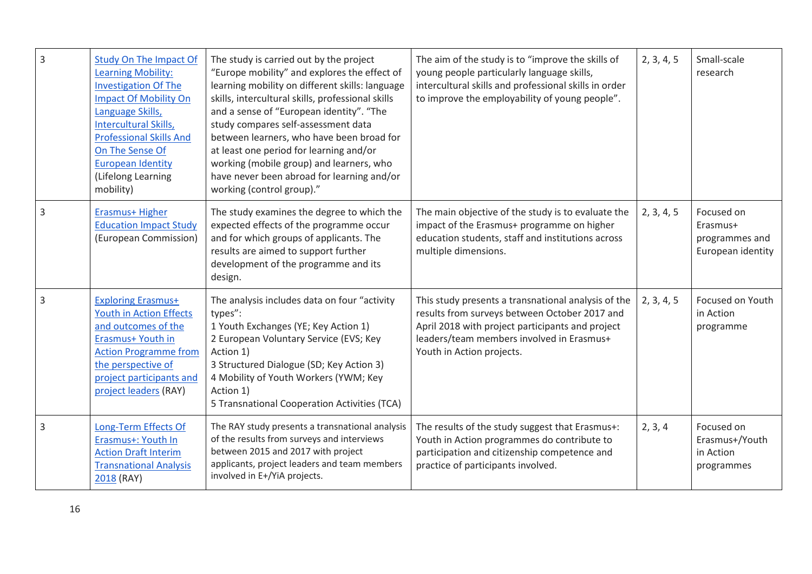| $\overline{3}$ | <b>Study On The Impact Of</b><br><b>Learning Mobility:</b><br><b>Investigation Of The</b><br><b>Impact Of Mobility On</b><br>Language Skills,<br>Intercultural Skills,<br><b>Professional Skills And</b><br>On The Sense Of<br><b>European Identity</b><br>(Lifelong Learning<br>mobility) | The study is carried out by the project<br>"Europe mobility" and explores the effect of<br>learning mobility on different skills: language<br>skills, intercultural skills, professional skills<br>and a sense of "European identity". "The<br>study compares self-assessment data<br>between learners, who have been broad for<br>at least one period for learning and/or<br>working (mobile group) and learners, who<br>have never been abroad for learning and/or<br>working (control group)." | The aim of the study is to "improve the skills of<br>young people particularly language skills,<br>intercultural skills and professional skills in order<br>to improve the employability of young people".                         | 2, 3, 4, 5 | Small-scale<br>research                                       |
|----------------|--------------------------------------------------------------------------------------------------------------------------------------------------------------------------------------------------------------------------------------------------------------------------------------------|---------------------------------------------------------------------------------------------------------------------------------------------------------------------------------------------------------------------------------------------------------------------------------------------------------------------------------------------------------------------------------------------------------------------------------------------------------------------------------------------------|------------------------------------------------------------------------------------------------------------------------------------------------------------------------------------------------------------------------------------|------------|---------------------------------------------------------------|
| 3              | Erasmus+ Higher<br><b>Education Impact Study</b><br>(European Commission)                                                                                                                                                                                                                  | The study examines the degree to which the<br>expected effects of the programme occur<br>and for which groups of applicants. The<br>results are aimed to support further<br>development of the programme and its<br>design.                                                                                                                                                                                                                                                                       | The main objective of the study is to evaluate the<br>impact of the Erasmus+ programme on higher<br>education students, staff and institutions across<br>multiple dimensions.                                                      | 2, 3, 4, 5 | Focused on<br>Erasmus+<br>programmes and<br>European identity |
| $\mathsf 3$    | <b>Exploring Erasmus+</b><br><b>Youth in Action Effects</b><br>and outcomes of the<br>Erasmus+ Youth in<br><b>Action Programme from</b><br>the perspective of<br>project participants and<br>project leaders (RAY)                                                                         | The analysis includes data on four "activity<br>types":<br>1 Youth Exchanges (YE; Key Action 1)<br>2 European Voluntary Service (EVS; Key<br>Action 1)<br>3 Structured Dialogue (SD; Key Action 3)<br>4 Mobility of Youth Workers (YWM; Key<br>Action 1)<br>5 Transnational Cooperation Activities (TCA)                                                                                                                                                                                          | This study presents a transnational analysis of the<br>results from surveys between October 2017 and<br>April 2018 with project participants and project<br>leaders/team members involved in Erasmus+<br>Youth in Action projects. | 2, 3, 4, 5 | Focused on Youth<br>in Action<br>programme                    |
| $\overline{3}$ | Long-Term Effects Of<br>Erasmus+: Youth In<br><b>Action Draft Interim</b><br><b>Transnational Analysis</b><br>2018 (RAY)                                                                                                                                                                   | The RAY study presents a transnational analysis<br>of the results from surveys and interviews<br>between 2015 and 2017 with project<br>applicants, project leaders and team members<br>involved in E+/YiA projects.                                                                                                                                                                                                                                                                               | The results of the study suggest that Erasmus+:<br>Youth in Action programmes do contribute to<br>participation and citizenship competence and<br>practice of participants involved.                                               | 2, 3, 4    | Focused on<br>Erasmus+/Youth<br>in Action<br>programmes       |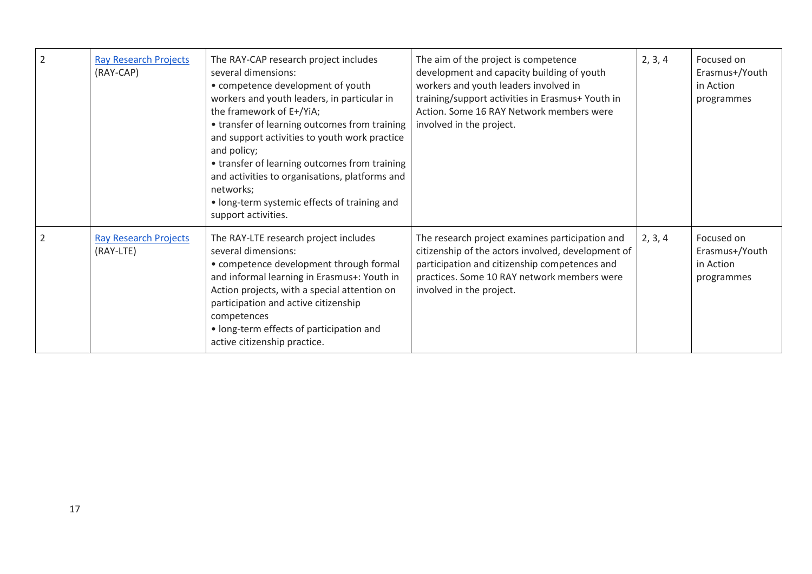| $\overline{2}$ | <b>Ray Research Projects</b><br>(RAY-CAP) | The RAY-CAP research project includes<br>several dimensions:<br>• competence development of youth<br>workers and youth leaders, in particular in<br>the framework of E+/YiA;<br>• transfer of learning outcomes from training<br>and support activities to youth work practice<br>and policy;<br>• transfer of learning outcomes from training<br>and activities to organisations, platforms and<br>networks;<br>• long-term systemic effects of training and<br>support activities. | The aim of the project is competence<br>development and capacity building of youth<br>workers and youth leaders involved in<br>training/support activities in Erasmus+ Youth in<br>Action. Some 16 RAY Network members were<br>involved in the project. | 2, 3, 4 | Focused on<br>Erasmus+/Youth<br>in Action<br>programmes |
|----------------|-------------------------------------------|--------------------------------------------------------------------------------------------------------------------------------------------------------------------------------------------------------------------------------------------------------------------------------------------------------------------------------------------------------------------------------------------------------------------------------------------------------------------------------------|---------------------------------------------------------------------------------------------------------------------------------------------------------------------------------------------------------------------------------------------------------|---------|---------------------------------------------------------|
| 2              | <b>Ray Research Projects</b><br>(RAY-LTE) | The RAY-LTE research project includes<br>several dimensions:<br>• competence development through formal<br>and informal learning in Erasmus+: Youth in<br>Action projects, with a special attention on<br>participation and active citizenship<br>competences<br>• long-term effects of participation and<br>active citizenship practice.                                                                                                                                            | The research project examines participation and<br>citizenship of the actors involved, development of<br>participation and citizenship competences and<br>practices. Some 10 RAY network members were<br>involved in the project.                       | 2, 3, 4 | Focused on<br>Erasmus+/Youth<br>in Action<br>programmes |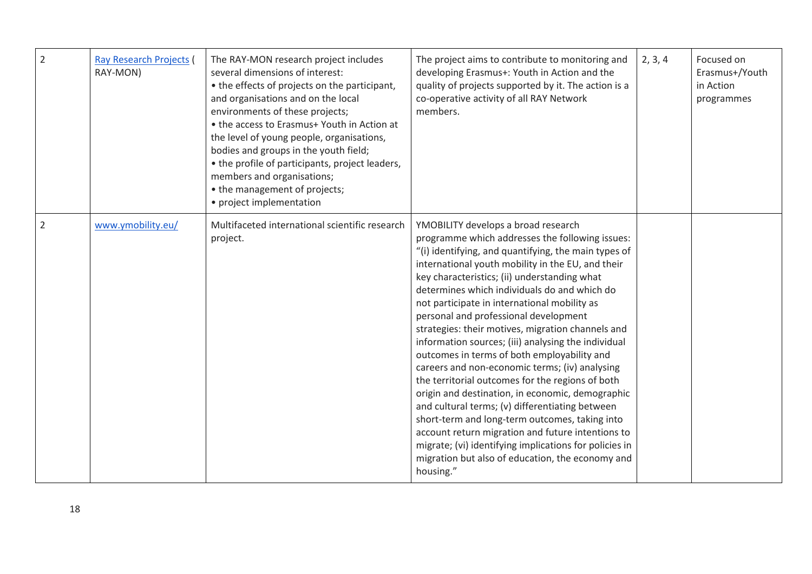| $\overline{2}$ | <b>Ray Research Projects</b><br>RAY-MON) | The RAY-MON research project includes<br>several dimensions of interest:<br>• the effects of projects on the participant,<br>and organisations and on the local<br>environments of these projects;<br>• the access to Erasmus+ Youth in Action at<br>the level of young people, organisations,<br>bodies and groups in the youth field;<br>• the profile of participants, project leaders,<br>members and organisations;<br>• the management of projects;<br>• project implementation | The project aims to contribute to monitoring and<br>developing Erasmus+: Youth in Action and the<br>quality of projects supported by it. The action is a<br>co-operative activity of all RAY Network<br>members.                                                                                                                                                                                                                                                                                                                                                                                                                                                                                                                                                                                                                                                                                                                                                                                       | 2, 3, 4 | Focused on<br>Erasmus+/Youth<br>in Action<br>programmes |
|----------------|------------------------------------------|---------------------------------------------------------------------------------------------------------------------------------------------------------------------------------------------------------------------------------------------------------------------------------------------------------------------------------------------------------------------------------------------------------------------------------------------------------------------------------------|--------------------------------------------------------------------------------------------------------------------------------------------------------------------------------------------------------------------------------------------------------------------------------------------------------------------------------------------------------------------------------------------------------------------------------------------------------------------------------------------------------------------------------------------------------------------------------------------------------------------------------------------------------------------------------------------------------------------------------------------------------------------------------------------------------------------------------------------------------------------------------------------------------------------------------------------------------------------------------------------------------|---------|---------------------------------------------------------|
| $\overline{2}$ | www.ymobility.eu/                        | Multifaceted international scientific research<br>project.                                                                                                                                                                                                                                                                                                                                                                                                                            | YMOBILITY develops a broad research<br>programme which addresses the following issues:<br>"(i) identifying, and quantifying, the main types of<br>international youth mobility in the EU, and their<br>key characteristics; (ii) understanding what<br>determines which individuals do and which do<br>not participate in international mobility as<br>personal and professional development<br>strategies: their motives, migration channels and<br>information sources; (iii) analysing the individual<br>outcomes in terms of both employability and<br>careers and non-economic terms; (iv) analysing<br>the territorial outcomes for the regions of both<br>origin and destination, in economic, demographic<br>and cultural terms; (v) differentiating between<br>short-term and long-term outcomes, taking into<br>account return migration and future intentions to<br>migrate; (vi) identifying implications for policies in<br>migration but also of education, the economy and<br>housing." |         |                                                         |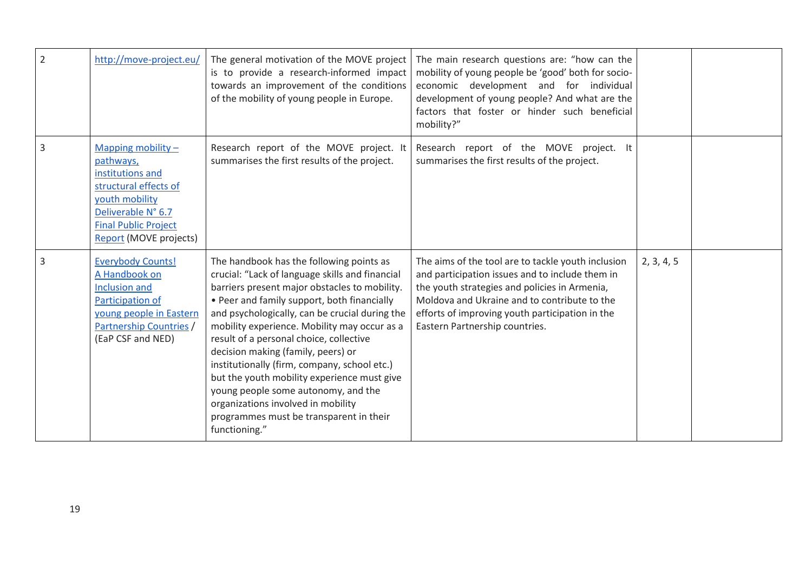| $\overline{2}$ | http://move-project.eu/                                                                                                                                                         | The general motivation of the MOVE project<br>is to provide a research-informed impact<br>towards an improvement of the conditions<br>of the mobility of young people in Europe.                                                                                                                                                                                                                                                                                                                                                                                                                                       | The main research questions are: "how can the<br>mobility of young people be 'good' both for socio-<br>economic development and for individual<br>development of young people? And what are the<br>factors that foster or hinder such beneficial<br>mobility?"                              |            |  |
|----------------|---------------------------------------------------------------------------------------------------------------------------------------------------------------------------------|------------------------------------------------------------------------------------------------------------------------------------------------------------------------------------------------------------------------------------------------------------------------------------------------------------------------------------------------------------------------------------------------------------------------------------------------------------------------------------------------------------------------------------------------------------------------------------------------------------------------|---------------------------------------------------------------------------------------------------------------------------------------------------------------------------------------------------------------------------------------------------------------------------------------------|------------|--|
| $\overline{3}$ | Mapping mobility $-$<br>pathways,<br>institutions and<br>structural effects of<br>youth mobility<br>Deliverable N° 6.7<br><b>Final Public Project</b><br>Report (MOVE projects) | Research report of the MOVE project. It<br>summarises the first results of the project.                                                                                                                                                                                                                                                                                                                                                                                                                                                                                                                                | Research report of the MOVE project. It<br>summarises the first results of the project.                                                                                                                                                                                                     |            |  |
| $\overline{3}$ | <b>Everybody Counts!</b><br>A Handbook on<br><b>Inclusion and</b><br>Participation of<br>young people in Eastern<br>Partnership Countries /<br>(EaP CSF and NED)                | The handbook has the following points as<br>crucial: "Lack of language skills and financial<br>barriers present major obstacles to mobility.<br>• Peer and family support, both financially<br>and psychologically, can be crucial during the<br>mobility experience. Mobility may occur as a<br>result of a personal choice, collective<br>decision making (family, peers) or<br>institutionally (firm, company, school etc.)<br>but the youth mobility experience must give<br>young people some autonomy, and the<br>organizations involved in mobility<br>programmes must be transparent in their<br>functioning." | The aims of the tool are to tackle youth inclusion<br>and participation issues and to include them in<br>the youth strategies and policies in Armenia,<br>Moldova and Ukraine and to contribute to the<br>efforts of improving youth participation in the<br>Eastern Partnership countries. | 2, 3, 4, 5 |  |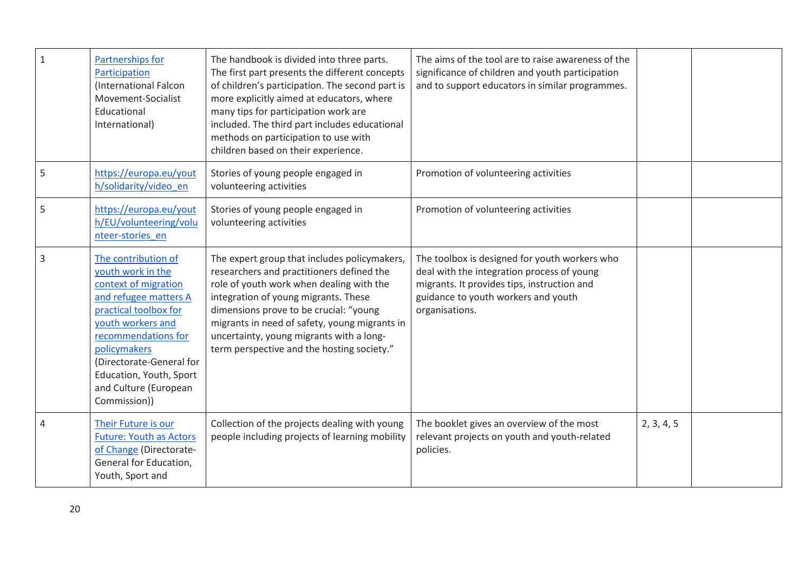| $\mathbf{1}$   | Partnerships for<br>Participation<br>(International Falcon<br>Movement-Socialist<br>Educational<br>International)                                                                                                                                                              | The handbook is divided into three parts.<br>The first part presents the different concepts<br>of children's participation. The second part is<br>more explicitly aimed at educators, where<br>many tips for participation work are<br>included. The third part includes educational<br>methods on participation to use with<br>children based on their experience. | The aims of the tool are to raise awareness of the<br>significance of children and youth participation<br>and to support educators in similar programmes.                                           |            |  |
|----------------|--------------------------------------------------------------------------------------------------------------------------------------------------------------------------------------------------------------------------------------------------------------------------------|---------------------------------------------------------------------------------------------------------------------------------------------------------------------------------------------------------------------------------------------------------------------------------------------------------------------------------------------------------------------|-----------------------------------------------------------------------------------------------------------------------------------------------------------------------------------------------------|------------|--|
| 5              | https://europa.eu/yout<br>h/solidarity/video_en                                                                                                                                                                                                                                | Stories of young people engaged in<br>volunteering activities                                                                                                                                                                                                                                                                                                       | Promotion of volunteering activities                                                                                                                                                                |            |  |
| 5              | https://europa.eu/yout<br>h/EU/volunteering/volu<br>nteer-stories en                                                                                                                                                                                                           | Stories of young people engaged in<br>volunteering activities                                                                                                                                                                                                                                                                                                       | Promotion of volunteering activities                                                                                                                                                                |            |  |
| $\overline{3}$ | The contribution of<br>youth work in the<br>context of migration<br>and refugee matters A<br>practical toolbox for<br>youth workers and<br>recommendations for<br>policymakers<br>(Directorate-General for<br>Education, Youth, Sport<br>and Culture (European<br>Commission)) | The expert group that includes policymakers,<br>researchers and practitioners defined the<br>role of youth work when dealing with the<br>integration of young migrants. These<br>dimensions prove to be crucial: "young<br>migrants in need of safety, young migrants in<br>uncertainty, young migrants with a long-<br>term perspective and the hosting society."  | The toolbox is designed for youth workers who<br>deal with the integration process of young<br>migrants. It provides tips, instruction and<br>guidance to youth workers and youth<br>organisations. |            |  |
| 4              | Their Future is our<br><b>Future: Youth as Actors</b><br>of Change (Directorate-<br>General for Education,<br>Youth, Sport and                                                                                                                                                 | Collection of the projects dealing with young<br>people including projects of learning mobility                                                                                                                                                                                                                                                                     | The booklet gives an overview of the most<br>relevant projects on youth and youth-related<br>policies.                                                                                              | 2, 3, 4, 5 |  |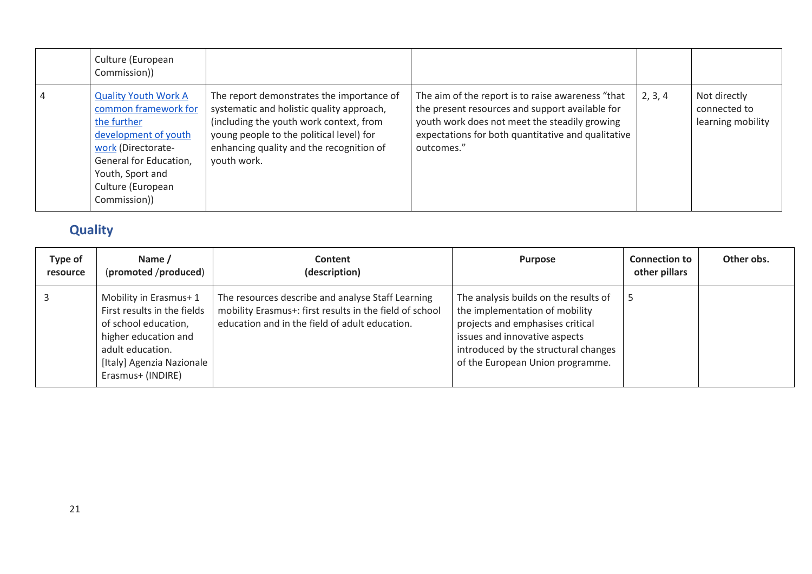| Culture (European<br>Commission))                                                                                                                                                                   |                                                                                                                                                                                                                                          |                                                                                                                                                                                                                           |         |                                                   |
|-----------------------------------------------------------------------------------------------------------------------------------------------------------------------------------------------------|------------------------------------------------------------------------------------------------------------------------------------------------------------------------------------------------------------------------------------------|---------------------------------------------------------------------------------------------------------------------------------------------------------------------------------------------------------------------------|---------|---------------------------------------------------|
| <b>Quality Youth Work A</b><br>common framework for<br>the further<br>development of youth<br>work (Directorate-<br>General for Education,<br>Youth, Sport and<br>Culture (European<br>Commission)) | The report demonstrates the importance of<br>systematic and holistic quality approach,<br>(including the youth work context, from<br>young people to the political level) for<br>enhancing quality and the recognition of<br>youth work. | The aim of the report is to raise awareness "that<br>the present resources and support available for<br>youth work does not meet the steadily growing<br>expectations for both quantitative and qualitative<br>outcomes." | 2, 3, 4 | Not directly<br>connected to<br>learning mobility |

# **Quality**

<span id="page-21-0"></span>

| Type of<br>resource | Name /<br>(promoted /produced)                                                                                                                                             | <b>Content</b><br>(description)                                                                                                                                | <b>Purpose</b>                                                                                                                                                                                                           | <b>Connection to</b><br>other pillars | Other obs. |
|---------------------|----------------------------------------------------------------------------------------------------------------------------------------------------------------------------|----------------------------------------------------------------------------------------------------------------------------------------------------------------|--------------------------------------------------------------------------------------------------------------------------------------------------------------------------------------------------------------------------|---------------------------------------|------------|
|                     | Mobility in Erasmus+1<br>First results in the fields<br>of school education,<br>higher education and<br>adult education.<br>[Italy] Agenzia Nazionale<br>Erasmus+ (INDIRE) | The resources describe and analyse Staff Learning<br>mobility Erasmus+: first results in the field of school<br>education and in the field of adult education. | The analysis builds on the results of<br>the implementation of mobility<br>projects and emphasises critical<br>issues and innovative aspects<br>introduced by the structural changes<br>of the European Union programme. | c                                     |            |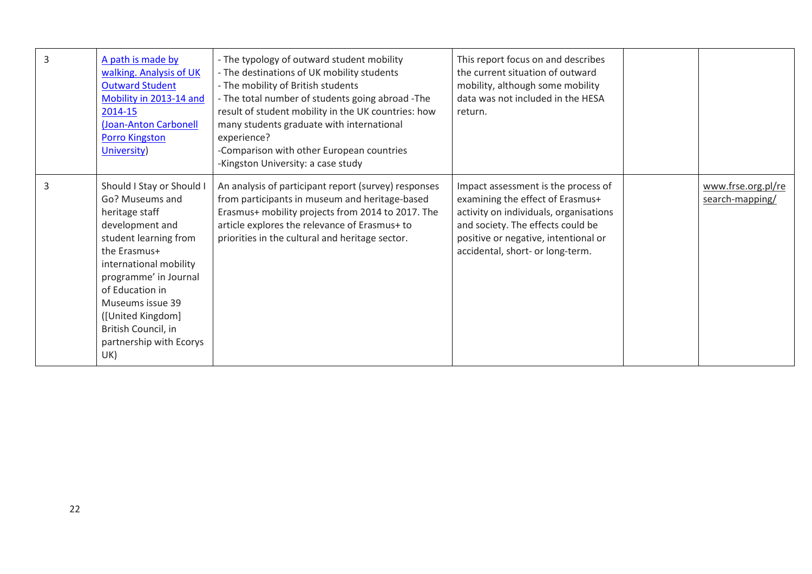| 3 | A path is made by<br>walking. Analysis of UK<br><b>Outward Student</b><br>Mobility in 2013-14 and<br>2014-15<br>(Joan-Anton Carbonell<br><b>Porro Kingston</b><br>University)                                                                                                                      | - The typology of outward student mobility<br>- The destinations of UK mobility students<br>- The mobility of British students<br>- The total number of students going abroad - The<br>result of student mobility in the UK countries: how<br>many students graduate with international<br>experience?<br>-Comparison with other European countries<br>-Kingston University: a case study | This report focus on and describes<br>the current situation of outward<br>mobility, although some mobility<br>data was not included in the HESA<br>return.                                                                         |                                       |
|---|----------------------------------------------------------------------------------------------------------------------------------------------------------------------------------------------------------------------------------------------------------------------------------------------------|-------------------------------------------------------------------------------------------------------------------------------------------------------------------------------------------------------------------------------------------------------------------------------------------------------------------------------------------------------------------------------------------|------------------------------------------------------------------------------------------------------------------------------------------------------------------------------------------------------------------------------------|---------------------------------------|
| 3 | Should I Stay or Should I<br>Go? Museums and<br>heritage staff<br>development and<br>student learning from<br>the Erasmus+<br>international mobility<br>programme' in Journal<br>of Education in<br>Museums issue 39<br>([United Kingdom]<br>British Council, in<br>partnership with Ecorys<br>UK) | An analysis of participant report (survey) responses<br>from participants in museum and heritage-based<br>Erasmus+ mobility projects from 2014 to 2017. The<br>article explores the relevance of Erasmus+ to<br>priorities in the cultural and heritage sector.                                                                                                                           | Impact assessment is the process of<br>examining the effect of Erasmus+<br>activity on individuals, organisations<br>and society. The effects could be<br>positive or negative, intentional or<br>accidental, short- or long-term. | www.frse.org.pl/re<br>search-mapping/ |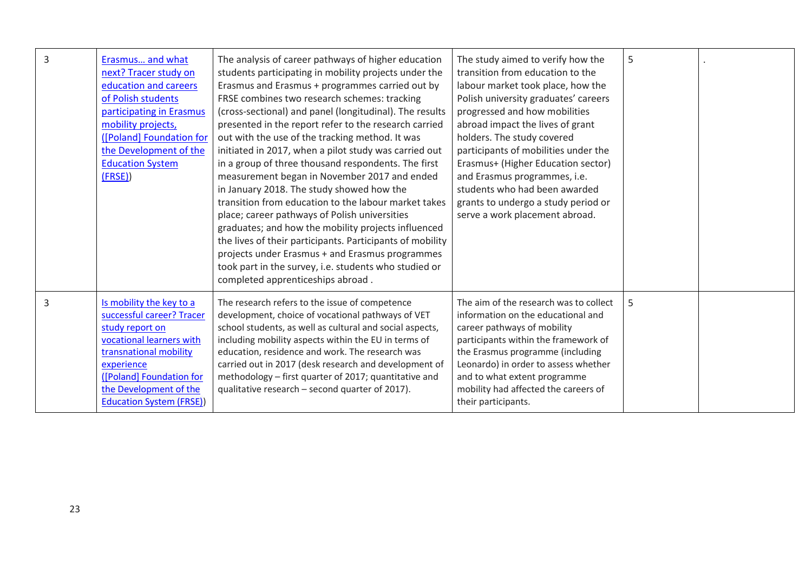| 3 | Erasmus and what<br>next? Tracer study on<br>education and careers<br>of Polish students<br>participating in Erasmus<br>mobility projects,<br>([Poland] Foundation for<br>the Development of the<br><b>Education System</b><br>(FRSE) | The analysis of career pathways of higher education<br>students participating in mobility projects under the<br>Erasmus and Erasmus + programmes carried out by<br>FRSE combines two research schemes: tracking<br>(cross-sectional) and panel (longitudinal). The results<br>presented in the report refer to the research carried<br>out with the use of the tracking method. It was<br>initiated in 2017, when a pilot study was carried out<br>in a group of three thousand respondents. The first<br>measurement began in November 2017 and ended<br>in January 2018. The study showed how the<br>transition from education to the labour market takes<br>place; career pathways of Polish universities<br>graduates; and how the mobility projects influenced<br>the lives of their participants. Participants of mobility<br>projects under Erasmus + and Erasmus programmes<br>took part in the survey, i.e. students who studied or<br>completed apprenticeships abroad. | The study aimed to verify how the<br>transition from education to the<br>labour market took place, how the<br>Polish university graduates' careers<br>progressed and how mobilities<br>abroad impact the lives of grant<br>holders. The study covered<br>participants of mobilities under the<br>Erasmus+ (Higher Education sector)<br>and Erasmus programmes, i.e.<br>students who had been awarded<br>grants to undergo a study period or<br>serve a work placement abroad. | 5 |  |
|---|---------------------------------------------------------------------------------------------------------------------------------------------------------------------------------------------------------------------------------------|-----------------------------------------------------------------------------------------------------------------------------------------------------------------------------------------------------------------------------------------------------------------------------------------------------------------------------------------------------------------------------------------------------------------------------------------------------------------------------------------------------------------------------------------------------------------------------------------------------------------------------------------------------------------------------------------------------------------------------------------------------------------------------------------------------------------------------------------------------------------------------------------------------------------------------------------------------------------------------------|-------------------------------------------------------------------------------------------------------------------------------------------------------------------------------------------------------------------------------------------------------------------------------------------------------------------------------------------------------------------------------------------------------------------------------------------------------------------------------|---|--|
| 3 | Is mobility the key to a<br>successful career? Tracer<br>study report on<br>vocational learners with<br>transnational mobility<br>experience<br>([Poland] Foundation for<br>the Development of the<br><b>Education System (FRSE))</b> | The research refers to the issue of competence<br>development, choice of vocational pathways of VET<br>school students, as well as cultural and social aspects,<br>including mobility aspects within the EU in terms of<br>education, residence and work. The research was<br>carried out in 2017 (desk research and development of<br>methodology - first quarter of 2017; quantitative and<br>qualitative research - second quarter of 2017).                                                                                                                                                                                                                                                                                                                                                                                                                                                                                                                                   | The aim of the research was to collect<br>information on the educational and<br>career pathways of mobility<br>participants within the framework of<br>the Erasmus programme (including<br>Leonardo) in order to assess whether<br>and to what extent programme<br>mobility had affected the careers of<br>their participants.                                                                                                                                                | 5 |  |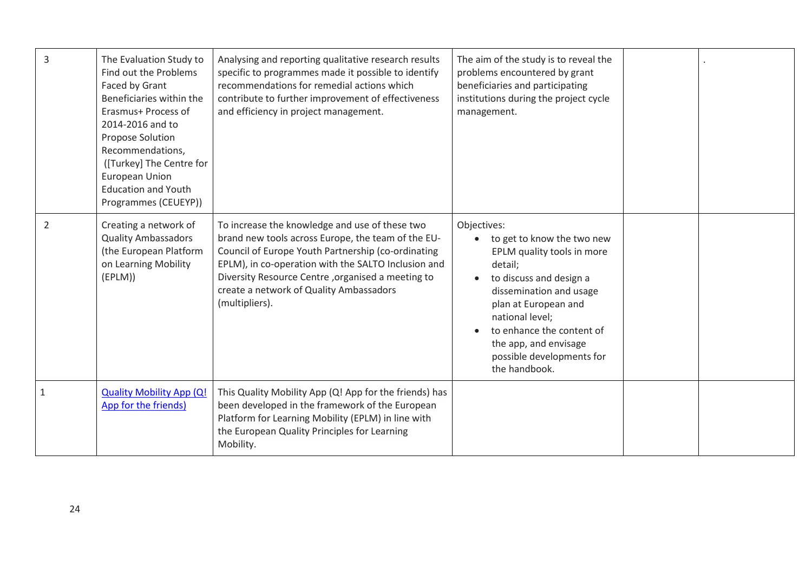| 3 | The Evaluation Study to<br>Find out the Problems<br>Faced by Grant<br>Beneficiaries within the<br>Erasmus+ Process of<br>2014-2016 and to<br><b>Propose Solution</b><br>Recommendations,<br>([Turkey] The Centre for<br>European Union<br><b>Education and Youth</b><br>Programmes (CEUEYP)) | Analysing and reporting qualitative research results<br>specific to programmes made it possible to identify<br>recommendations for remedial actions which<br>contribute to further improvement of effectiveness<br>and efficiency in project management.                                                                            | The aim of the study is to reveal the<br>problems encountered by grant<br>beneficiaries and participating<br>institutions during the project cycle<br>management.                                                                                                                       |  |
|---|----------------------------------------------------------------------------------------------------------------------------------------------------------------------------------------------------------------------------------------------------------------------------------------------|-------------------------------------------------------------------------------------------------------------------------------------------------------------------------------------------------------------------------------------------------------------------------------------------------------------------------------------|-----------------------------------------------------------------------------------------------------------------------------------------------------------------------------------------------------------------------------------------------------------------------------------------|--|
| 2 | Creating a network of<br><b>Quality Ambassadors</b><br>(the European Platform<br>on Learning Mobility<br>(EPLM))                                                                                                                                                                             | To increase the knowledge and use of these two<br>brand new tools across Europe, the team of the EU-<br>Council of Europe Youth Partnership (co-ordinating<br>EPLM), in co-operation with the SALTO Inclusion and<br>Diversity Resource Centre, organised a meeting to<br>create a network of Quality Ambassadors<br>(multipliers). | Objectives:<br>to get to know the two new<br>EPLM quality tools in more<br>detail;<br>to discuss and design a<br>dissemination and usage<br>plan at European and<br>national level;<br>to enhance the content of<br>the app, and envisage<br>possible developments for<br>the handbook. |  |
|   | <b>Quality Mobility App (Q!</b><br>App for the friends)                                                                                                                                                                                                                                      | This Quality Mobility App (Q! App for the friends) has<br>been developed in the framework of the European<br>Platform for Learning Mobility (EPLM) in line with<br>the European Quality Principles for Learning<br>Mobility.                                                                                                        |                                                                                                                                                                                                                                                                                         |  |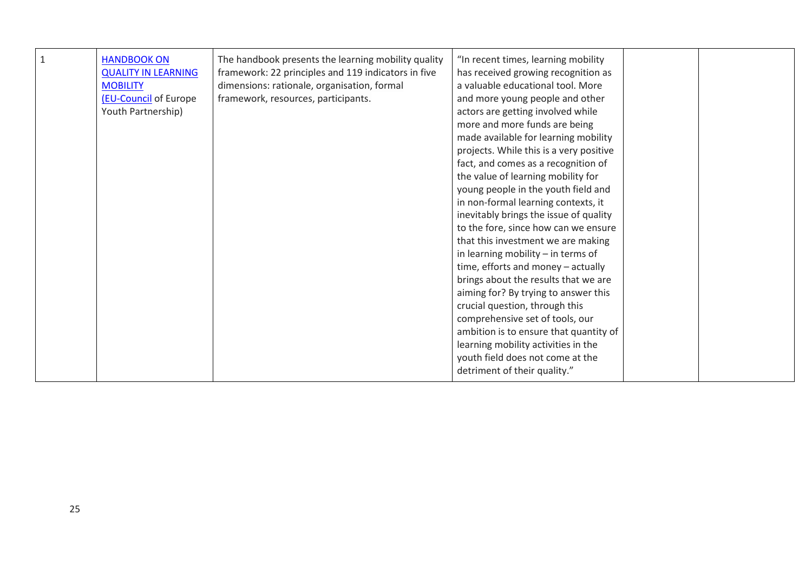| The handbook presents the learning mobility quality<br>$\mathbf{1}$<br><b>HANDBOOK ON</b><br>framework: 22 principles and 119 indicators in five<br><b>QUALITY IN LEARNING</b><br>dimensions: rationale, organisation, formal<br><b>MOBILITY</b><br>framework, resources, participants.<br>(EU-Council of Europe<br>Youth Partnership) | has received growing recognition as<br>a valuable educational tool. More<br>and more young people and other<br>actors are getting involved while<br>more and more funds are being<br>made available for learning mobility<br>projects. While this is a very positive<br>fact, and comes as a recognition of<br>the value of learning mobility for<br>young people in the youth field and<br>in non-formal learning contexts, it<br>inevitably brings the issue of quality<br>to the fore, since how can we ensure<br>that this investment we are making<br>in learning mobility - in terms of<br>time, efforts and money - actually<br>brings about the results that we are<br>aiming for? By trying to answer this<br>crucial question, through this<br>comprehensive set of tools, our<br>ambition is to ensure that quantity of<br>learning mobility activities in the<br>youth field does not come at the<br>detriment of their quality." |  |  |
|----------------------------------------------------------------------------------------------------------------------------------------------------------------------------------------------------------------------------------------------------------------------------------------------------------------------------------------|-----------------------------------------------------------------------------------------------------------------------------------------------------------------------------------------------------------------------------------------------------------------------------------------------------------------------------------------------------------------------------------------------------------------------------------------------------------------------------------------------------------------------------------------------------------------------------------------------------------------------------------------------------------------------------------------------------------------------------------------------------------------------------------------------------------------------------------------------------------------------------------------------------------------------------------------------|--|--|
|----------------------------------------------------------------------------------------------------------------------------------------------------------------------------------------------------------------------------------------------------------------------------------------------------------------------------------------|-----------------------------------------------------------------------------------------------------------------------------------------------------------------------------------------------------------------------------------------------------------------------------------------------------------------------------------------------------------------------------------------------------------------------------------------------------------------------------------------------------------------------------------------------------------------------------------------------------------------------------------------------------------------------------------------------------------------------------------------------------------------------------------------------------------------------------------------------------------------------------------------------------------------------------------------------|--|--|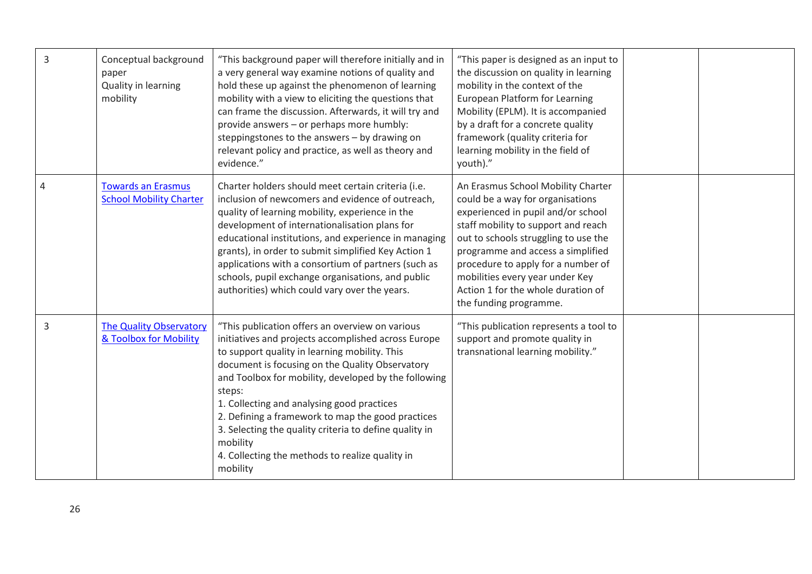| 3 | Conceptual background<br>paper<br>Quality in learning<br>mobility | "This background paper will therefore initially and in<br>a very general way examine notions of quality and<br>hold these up against the phenomenon of learning<br>mobility with a view to eliciting the questions that<br>can frame the discussion. Afterwards, it will try and<br>provide answers - or perhaps more humbly:<br>steppingstones to the answers - by drawing on<br>relevant policy and practice, as well as theory and<br>evidence."                                                                  | "This paper is designed as an input to<br>the discussion on quality in learning<br>mobility in the context of the<br><b>European Platform for Learning</b><br>Mobility (EPLM). It is accompanied<br>by a draft for a concrete quality<br>framework (quality criteria for<br>learning mobility in the field of<br>youth)."                                                 |  |
|---|-------------------------------------------------------------------|----------------------------------------------------------------------------------------------------------------------------------------------------------------------------------------------------------------------------------------------------------------------------------------------------------------------------------------------------------------------------------------------------------------------------------------------------------------------------------------------------------------------|---------------------------------------------------------------------------------------------------------------------------------------------------------------------------------------------------------------------------------------------------------------------------------------------------------------------------------------------------------------------------|--|
| 4 | <b>Towards an Erasmus</b><br><b>School Mobility Charter</b>       | Charter holders should meet certain criteria (i.e.<br>inclusion of newcomers and evidence of outreach,<br>quality of learning mobility, experience in the<br>development of internationalisation plans for<br>educational institutions, and experience in managing<br>grants), in order to submit simplified Key Action 1<br>applications with a consortium of partners (such as<br>schools, pupil exchange organisations, and public<br>authorities) which could vary over the years.                               | An Erasmus School Mobility Charter<br>could be a way for organisations<br>experienced in pupil and/or school<br>staff mobility to support and reach<br>out to schools struggling to use the<br>programme and access a simplified<br>procedure to apply for a number of<br>mobilities every year under Key<br>Action 1 for the whole duration of<br>the funding programme. |  |
| 3 | <b>The Quality Observatory</b><br>& Toolbox for Mobility          | "This publication offers an overview on various<br>initiatives and projects accomplished across Europe<br>to support quality in learning mobility. This<br>document is focusing on the Quality Observatory<br>and Toolbox for mobility, developed by the following<br>steps:<br>1. Collecting and analysing good practices<br>2. Defining a framework to map the good practices<br>3. Selecting the quality criteria to define quality in<br>mobility<br>4. Collecting the methods to realize quality in<br>mobility | "This publication represents a tool to<br>support and promote quality in<br>transnational learning mobility."                                                                                                                                                                                                                                                             |  |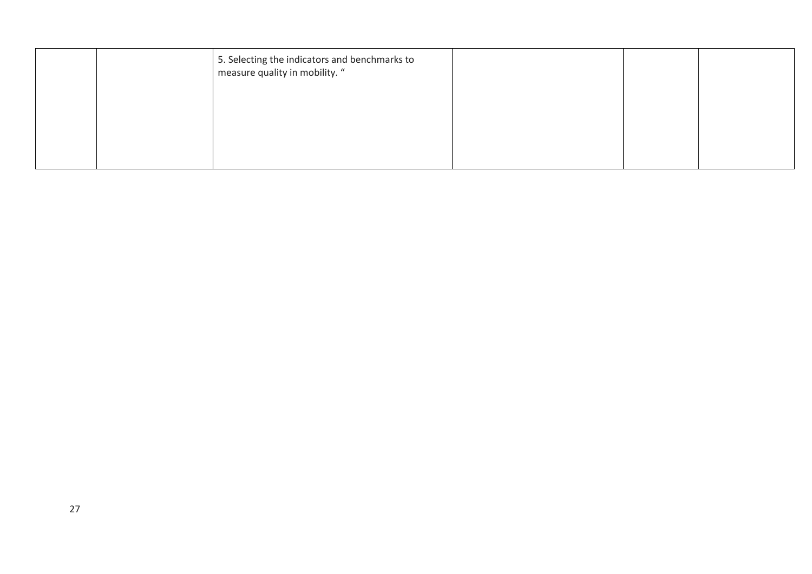|  | 5. Selecting the indicators and benchmarks to<br>measure quality in mobility. " |  |  |
|--|---------------------------------------------------------------------------------|--|--|
|  |                                                                                 |  |  |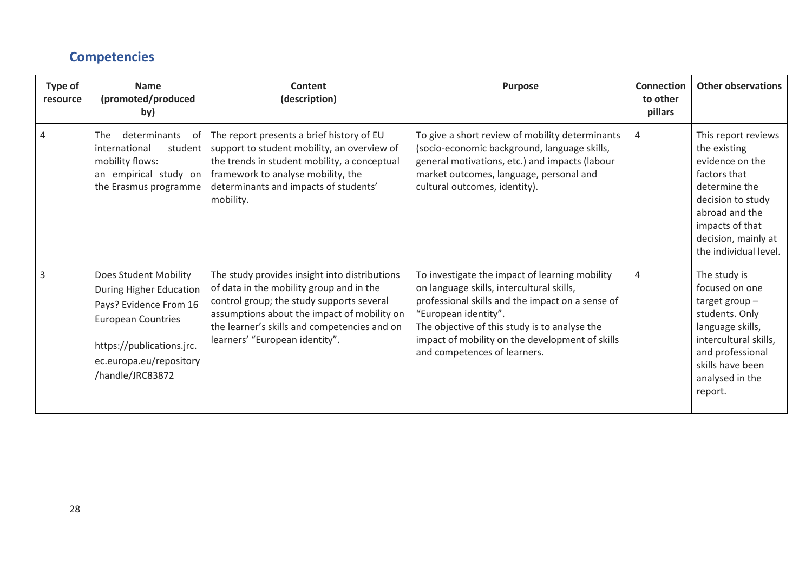### **Competencies**

<span id="page-28-0"></span>

| Type of<br>resource | <b>Name</b><br>(promoted/produced<br>by)                                                                                                                                            | Content<br>(description)                                                                                                                                                                                                                                                | <b>Purpose</b>                                                                                                                                                                                                                                                                                              | <b>Connection</b><br>to other<br>pillars | <b>Other observations</b>                                                                                                                                                                         |
|---------------------|-------------------------------------------------------------------------------------------------------------------------------------------------------------------------------------|-------------------------------------------------------------------------------------------------------------------------------------------------------------------------------------------------------------------------------------------------------------------------|-------------------------------------------------------------------------------------------------------------------------------------------------------------------------------------------------------------------------------------------------------------------------------------------------------------|------------------------------------------|---------------------------------------------------------------------------------------------------------------------------------------------------------------------------------------------------|
|                     | determinants<br><b>The</b><br>- of<br>international<br>student<br>mobility flows:<br>an empirical study on<br>the Erasmus programme                                                 | The report presents a brief history of EU<br>support to student mobility, an overview of<br>the trends in student mobility, a conceptual<br>framework to analyse mobility, the<br>determinants and impacts of students'<br>mobility.                                    | To give a short review of mobility determinants<br>(socio-economic background, language skills,<br>general motivations, etc.) and impacts (labour<br>market outcomes, language, personal and<br>cultural outcomes, identity).                                                                               | 4                                        | This report reviews<br>the existing<br>evidence on the<br>factors that<br>determine the<br>decision to study<br>abroad and the<br>impacts of that<br>decision, mainly at<br>the individual level. |
| 3                   | Does Student Mobility<br>During Higher Education<br>Pays? Evidence From 16<br><b>European Countries</b><br>https://publications.jrc.<br>ec.europa.eu/repository<br>/handle/JRC83872 | The study provides insight into distributions<br>of data in the mobility group and in the<br>control group; the study supports several<br>assumptions about the impact of mobility on<br>the learner's skills and competencies and on<br>learners' "European identity". | To investigate the impact of learning mobility<br>on language skills, intercultural skills,<br>professional skills and the impact on a sense of<br>"European identity".<br>The objective of this study is to analyse the<br>impact of mobility on the development of skills<br>and competences of learners. | 4                                        | The study is<br>focused on one<br>target group $-$<br>students. Only<br>language skills,<br>intercultural skills,<br>and professional<br>skills have been<br>analysed in the<br>report.           |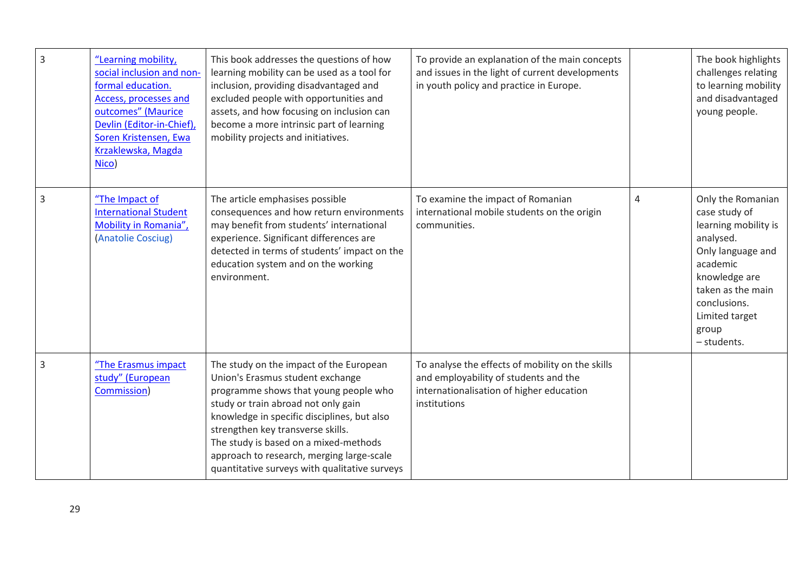| $\overline{3}$ | "Learning mobility,<br>social inclusion and non-<br>formal education.<br>Access, processes and<br>outcomes" (Maurice<br>Devlin (Editor-in-Chief),<br>Soren Kristensen, Ewa<br>Krzaklewska, Magda<br>Nico) | This book addresses the questions of how<br>learning mobility can be used as a tool for<br>inclusion, providing disadvantaged and<br>excluded people with opportunities and<br>assets, and how focusing on inclusion can<br>become a more intrinsic part of learning<br>mobility projects and initiatives.                                                                             | To provide an explanation of the main concepts<br>and issues in the light of current developments<br>in youth policy and practice in Europe.          |                | The book highlights<br>challenges relating<br>to learning mobility<br>and disadvantaged<br>young people.                                                                                                 |
|----------------|-----------------------------------------------------------------------------------------------------------------------------------------------------------------------------------------------------------|----------------------------------------------------------------------------------------------------------------------------------------------------------------------------------------------------------------------------------------------------------------------------------------------------------------------------------------------------------------------------------------|-------------------------------------------------------------------------------------------------------------------------------------------------------|----------------|----------------------------------------------------------------------------------------------------------------------------------------------------------------------------------------------------------|
| $\overline{3}$ | "The Impact of<br><b>International Student</b><br>Mobility in Romania",<br>(Anatolie Cosciug)                                                                                                             | The article emphasises possible<br>consequences and how return environments<br>may benefit from students' international<br>experience. Significant differences are<br>detected in terms of students' impact on the<br>education system and on the working<br>environment.                                                                                                              | To examine the impact of Romanian<br>international mobile students on the origin<br>communities.                                                      | $\overline{4}$ | Only the Romanian<br>case study of<br>learning mobility is<br>analysed.<br>Only language and<br>academic<br>knowledge are<br>taken as the main<br>conclusions.<br>Limited target<br>group<br>- students. |
| $\overline{3}$ | "The Erasmus impact<br>study" (European<br>Commission)                                                                                                                                                    | The study on the impact of the European<br>Union's Erasmus student exchange<br>programme shows that young people who<br>study or train abroad not only gain<br>knowledge in specific disciplines, but also<br>strengthen key transverse skills.<br>The study is based on a mixed-methods<br>approach to research, merging large-scale<br>quantitative surveys with qualitative surveys | To analyse the effects of mobility on the skills<br>and employability of students and the<br>internationalisation of higher education<br>institutions |                |                                                                                                                                                                                                          |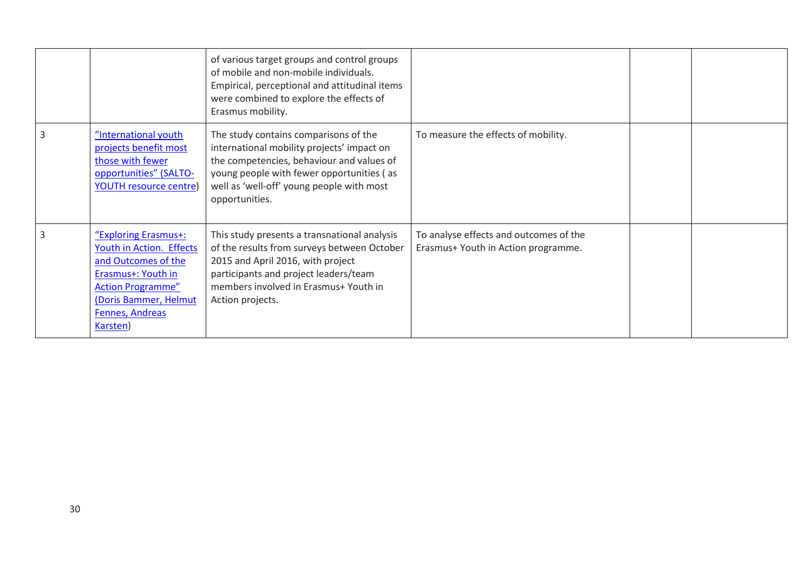|                                                                                                                                                                                   | of various target groups and control groups<br>of mobile and non-mobile individuals.<br>Empirical, perceptional and attitudinal items<br>were combined to explore the effects of<br>Erasmus mobility.                                        |                                                                               |  |
|-----------------------------------------------------------------------------------------------------------------------------------------------------------------------------------|----------------------------------------------------------------------------------------------------------------------------------------------------------------------------------------------------------------------------------------------|-------------------------------------------------------------------------------|--|
| "International youth<br>projects benefit most<br>those with fewer<br>opportunities" (SALTO-<br><b>YOUTH resource centre)</b>                                                      | The study contains comparisons of the<br>international mobility projects' impact on<br>the competencies, behaviour and values of<br>young people with fewer opportunities (as<br>well as 'well-off' young people with most<br>opportunities. | To measure the effects of mobility.                                           |  |
| "Exploring Erasmus+:<br>Youth in Action. Effects<br>and Outcomes of the<br>Erasmus+: Youth in<br><b>Action Programme"</b><br>(Doris Bammer, Helmut<br>Fennes, Andreas<br>Karsten) | This study presents a transnational analysis<br>of the results from surveys between October<br>2015 and April 2016, with project<br>participants and project leaders/team<br>members involved in Erasmus+ Youth in<br>Action projects.       | To analyse effects and outcomes of the<br>Erasmus+ Youth in Action programme. |  |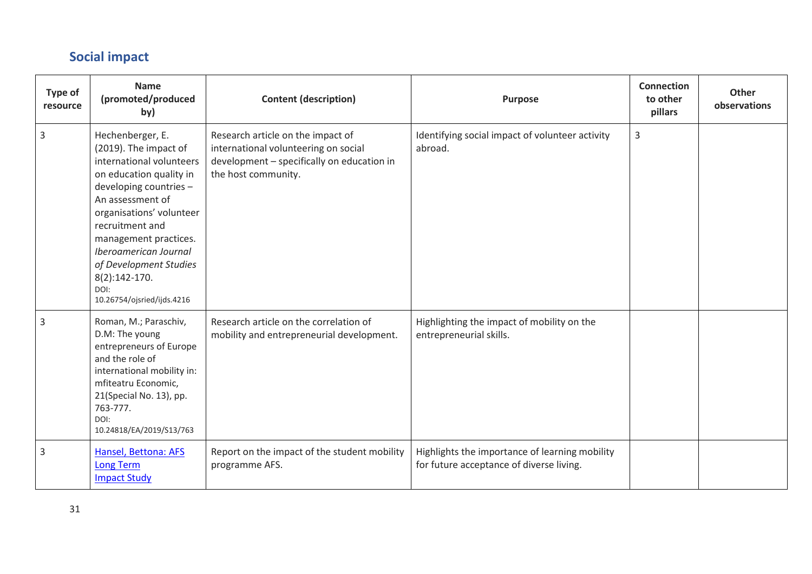## **Social impact**

<span id="page-31-0"></span>

| Type of<br>resource | <b>Name</b><br>(promoted/produced<br>by)                                                                                                                                                                                                                                                                                           | <b>Content (description)</b>                                                                                                                   | <b>Purpose</b>                                                                             | <b>Connection</b><br>to other<br>pillars | <b>Other</b><br>observations |
|---------------------|------------------------------------------------------------------------------------------------------------------------------------------------------------------------------------------------------------------------------------------------------------------------------------------------------------------------------------|------------------------------------------------------------------------------------------------------------------------------------------------|--------------------------------------------------------------------------------------------|------------------------------------------|------------------------------|
| $\mathsf{3}$        | Hechenberger, E.<br>(2019). The impact of<br>international volunteers<br>on education quality in<br>developing countries -<br>An assessment of<br>organisations' volunteer<br>recruitment and<br>management practices.<br>Iberoamerican Journal<br>of Development Studies<br>$8(2):142-170.$<br>DOI:<br>10.26754/ojsried/ijds.4216 | Research article on the impact of<br>international volunteering on social<br>development - specifically on education in<br>the host community. | Identifying social impact of volunteer activity<br>abroad.                                 | 3                                        |                              |
| 3                   | Roman, M.; Paraschiv,<br>D.M: The young<br>entrepreneurs of Europe<br>and the role of<br>international mobility in:<br>mfiteatru Economic,<br>21(Special No. 13), pp.<br>763-777.<br>DOI:<br>10.24818/EA/2019/S13/763                                                                                                              | Research article on the correlation of<br>mobility and entrepreneurial development.                                                            | Highlighting the impact of mobility on the<br>entrepreneurial skills.                      |                                          |                              |
| 3                   | Hansel, Bettona: AFS<br><b>Long Term</b><br><b>Impact Study</b>                                                                                                                                                                                                                                                                    | Report on the impact of the student mobility<br>programme AFS.                                                                                 | Highlights the importance of learning mobility<br>for future acceptance of diverse living. |                                          |                              |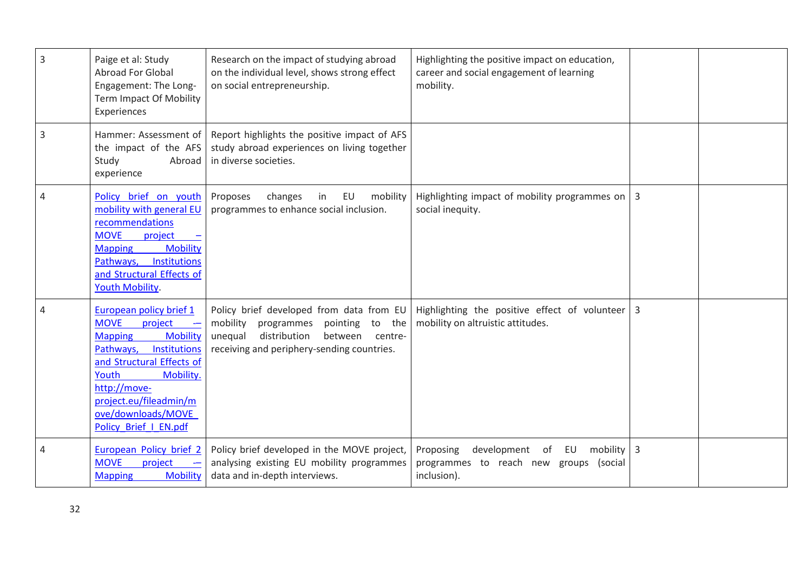| 3 | Paige et al: Study<br>Abroad For Global<br>Engagement: The Long-<br>Term Impact Of Mobility<br>Experiences                                                                                                                                                      | Research on the impact of studying abroad<br>on the individual level, shows strong effect<br>on social entrepreneurship.                                                          | Highlighting the positive impact on education,<br>career and social engagement of learning<br>mobility. |                |  |
|---|-----------------------------------------------------------------------------------------------------------------------------------------------------------------------------------------------------------------------------------------------------------------|-----------------------------------------------------------------------------------------------------------------------------------------------------------------------------------|---------------------------------------------------------------------------------------------------------|----------------|--|
| 3 | Hammer: Assessment of<br>the impact of the AFS<br>Study<br>Abroad<br>experience                                                                                                                                                                                 | Report highlights the positive impact of AFS<br>study abroad experiences on living together<br>in diverse societies.                                                              |                                                                                                         |                |  |
| 4 | Policy brief on youth<br>mobility with general EU<br>recommendations<br><b>MOVE</b><br>project<br><b>Mobility</b><br><b>Mapping</b><br>Pathways,<br>Institutions<br>and Structural Effects of<br>Youth Mobility.                                                | Proposes<br>changes<br>EU<br>mobility<br>in<br>programmes to enhance social inclusion.                                                                                            | Highlighting impact of mobility programmes on<br>social inequity.                                       | $\overline{3}$ |  |
| 4 | European policy brief 1<br><b>MOVE</b><br>project<br><b>Mobility</b><br><b>Mapping</b><br>Pathways,<br>Institutions<br>and Structural Effects of<br>Youth<br>Mobility.<br>http://move-<br>project.eu/fileadmin/m<br>ove/downloads/MOVE<br>Policy_Brief_I_EN.pdf | Policy brief developed from data from EU<br>mobility<br>programmes<br>pointing to the<br>distribution<br>unequal<br>between centre-<br>receiving and periphery-sending countries. | Highlighting the positive effect of volunteer<br>mobility on altruistic attitudes.                      | $\overline{3}$ |  |
| 4 | European Policy brief 2<br><b>MOVE</b><br>project<br><b>Mobility</b><br><b>Mapping</b>                                                                                                                                                                          | Policy brief developed in the MOVE project,<br>analysing existing EU mobility programmes<br>data and in-depth interviews.                                                         | development of EU<br>mobility<br>Proposing<br>programmes to reach new groups (social<br>inclusion).     | $\overline{3}$ |  |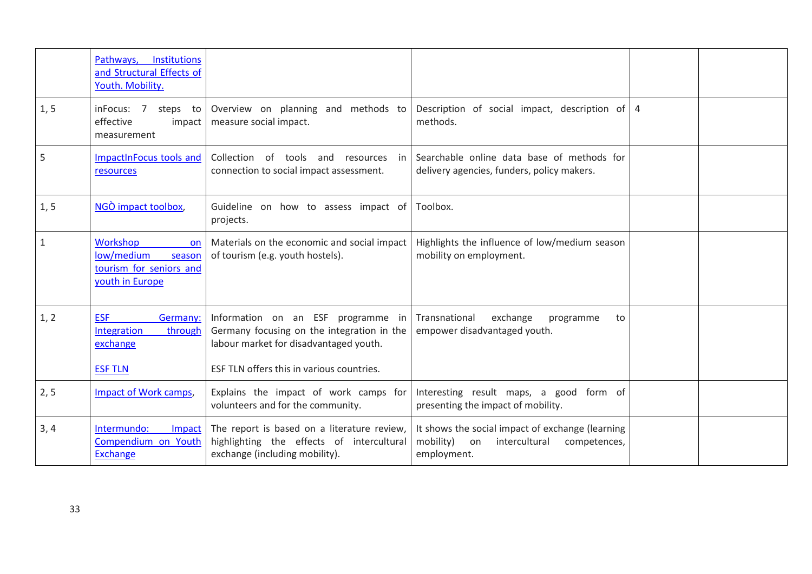|              | <b>Institutions</b><br>Pathways,<br>and Structural Effects of<br>Youth. Mobility.                  |                                                                                                                                                                         |                                                                                                                     |                |  |
|--------------|----------------------------------------------------------------------------------------------------|-------------------------------------------------------------------------------------------------------------------------------------------------------------------------|---------------------------------------------------------------------------------------------------------------------|----------------|--|
| 1, 5         | inFocus: 7<br>steps to<br>effective<br>impact<br>measurement                                       | Overview on planning and methods to<br>measure social impact.                                                                                                           | Description of social impact, description of<br>methods.                                                            | $\overline{4}$ |  |
| 5            | ImpactInFocus tools and<br>resources                                                               | Collection of tools and<br>resources<br>in<br>connection to social impact assessment.                                                                                   | Searchable online data base of methods for<br>delivery agencies, funders, policy makers.                            |                |  |
| 1, 5         | NGO impact toolbox,                                                                                | Guideline on how to assess impact of Toolbox.<br>projects.                                                                                                              |                                                                                                                     |                |  |
| $\mathbf{1}$ | <b>Workshop</b><br><b>on</b><br>low/medium<br>season<br>tourism for seniors and<br>youth in Europe | Materials on the economic and social impact<br>of tourism (e.g. youth hostels).                                                                                         | Highlights the influence of low/medium season<br>mobility on employment.                                            |                |  |
| 1, 2         | <b>ESF</b><br>Germany:<br>Integration<br>through<br>exchange<br><b>ESF TLN</b>                     | Information on an ESF programme in<br>Germany focusing on the integration in the<br>labour market for disadvantaged youth.<br>ESF TLN offers this in various countries. | Transnational<br>exchange<br>programme<br>to<br>empower disadvantaged youth.                                        |                |  |
| 2, 5         | Impact of Work camps,                                                                              | Explains the impact of work camps for<br>volunteers and for the community.                                                                                              | Interesting result maps, a good form of<br>presenting the impact of mobility.                                       |                |  |
| 3, 4         | Intermundo:<br>Impact<br>Compendium on Youth<br><b>Exchange</b>                                    | The report is based on a literature review,<br>highlighting the effects of intercultural<br>exchange (including mobility).                                              | It shows the social impact of exchange (learning<br>mobility)<br>intercultural<br>on<br>competences,<br>employment. |                |  |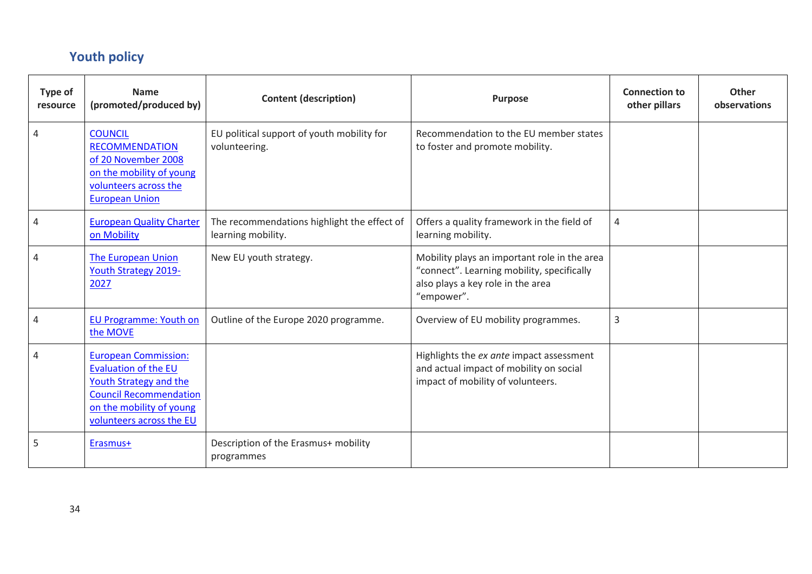# **Youth policy**

<span id="page-34-0"></span>

| <b>Type of</b><br>resource | <b>Name</b><br>(promoted/produced by)                                                                                                                                  | <b>Content (description)</b>                                      | <b>Purpose</b>                                                                                                                                | <b>Connection to</b><br>other pillars | <b>Other</b><br>observations |
|----------------------------|------------------------------------------------------------------------------------------------------------------------------------------------------------------------|-------------------------------------------------------------------|-----------------------------------------------------------------------------------------------------------------------------------------------|---------------------------------------|------------------------------|
| 4                          | <b>COUNCIL</b><br><b>RECOMMENDATION</b><br>of 20 November 2008<br>on the mobility of young<br>volunteers across the<br><b>European Union</b>                           | EU political support of youth mobility for<br>volunteering.       | Recommendation to the EU member states<br>to foster and promote mobility.                                                                     |                                       |                              |
| 4                          | <b>European Quality Charter</b><br>on Mobility                                                                                                                         | The recommendations highlight the effect of<br>learning mobility. | Offers a quality framework in the field of<br>learning mobility.                                                                              | 4                                     |                              |
|                            | <b>The European Union</b><br>Youth Strategy 2019-<br>2027                                                                                                              | New EU youth strategy.                                            | Mobility plays an important role in the area<br>"connect". Learning mobility, specifically<br>also plays a key role in the area<br>"empower". |                                       |                              |
| 4                          | <b>EU Programme: Youth on</b><br>the MOVE                                                                                                                              | Outline of the Europe 2020 programme.                             | Overview of EU mobility programmes.                                                                                                           | 3                                     |                              |
|                            | <b>European Commission:</b><br>Evaluation of the EU<br>Youth Strategy and the<br><b>Council Recommendation</b><br>on the mobility of young<br>volunteers across the EU |                                                                   | Highlights the ex ante impact assessment<br>and actual impact of mobility on social<br>impact of mobility of volunteers.                      |                                       |                              |
| 5                          | Erasmus+                                                                                                                                                               | Description of the Erasmus+ mobility<br>programmes                |                                                                                                                                               |                                       |                              |